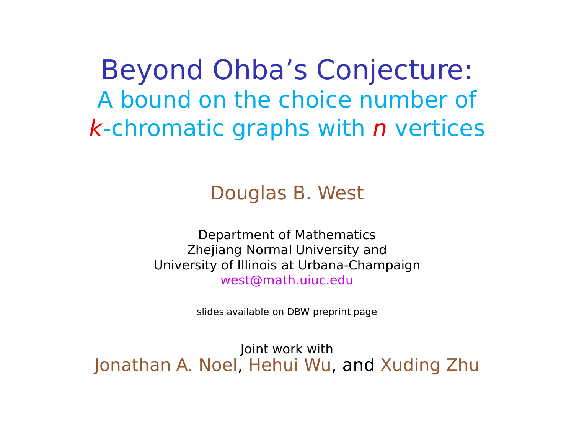Beyond Ohba's Conjecture: A bound on the choice number of  $k$ -chromatic graphs with  $n$  vertices

Douglas B. West

Department of Mathematics Zhejiang Normal University and University of Illinois at Urbana-Champaign west@math.uiuc.edu

slides available on DBW preprint page

Joint work with Jonathan A. Noel, Hehui Wu, and Xuding Zhu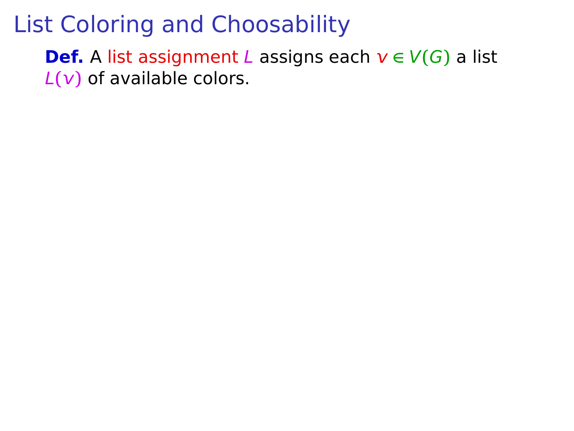**Def.** A list assignment *L* assigns each  $v \in V(G)$  a list  $L(v)$  of available colors.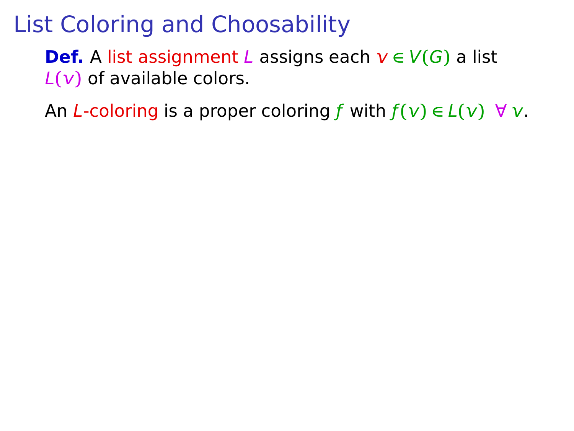**Def.** A list assignment L assigns each  $v \in V(G)$  a list  $L(v)$  of available colors.

An L-coloring is a proper coloring f with  $f(v) \in L(v)$   $\forall v$ .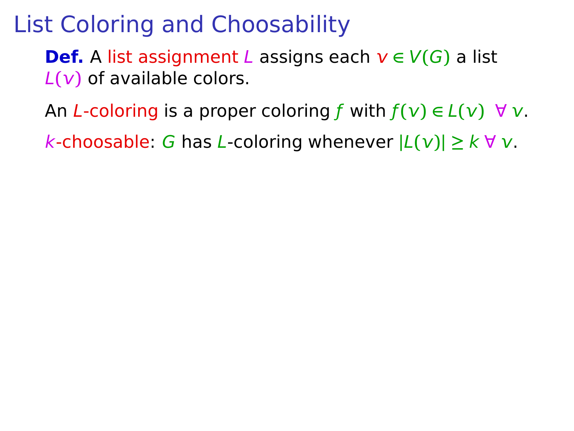**Def.** A list assignment L assigns each  $v \in V(G)$  a list  $L(v)$  of available colors.

An *L*-coloring is a proper coloring f with  $f(v) \in L(v)$   $\forall v$ .

k-choosable: G has L-coloring whenever **|**L**()| ≥** k ∀ .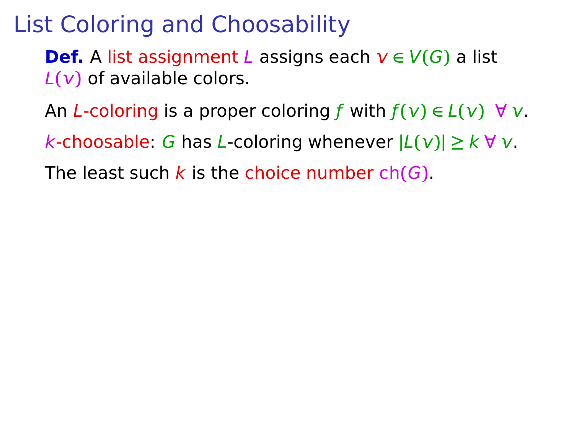**Def.** A list assignment *L* assigns each  $v \in V(G)$  a list  $L(v)$  of available colors.

An L-coloring is a proper coloring f with  $f(v) \in L(v)$   $\forall v$ .

k-choosable: G has L-coloring whenever **|**L**()| ≥** k ∀ .

The least such k is the choice number ch**(**G**)**.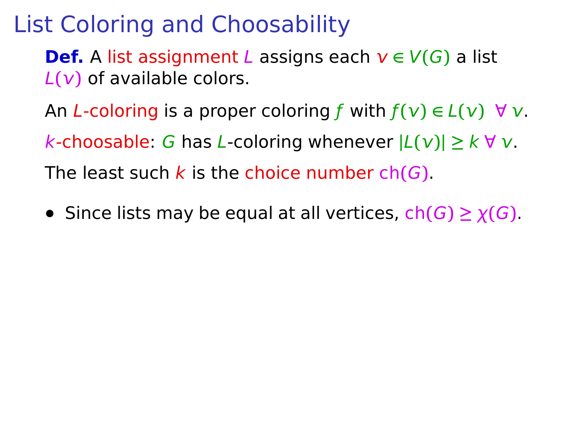**Def.** A list assignment *L* assigns each  $v \in V(G)$  a list L**()** of available colors.

An L-coloring is a proper coloring f with  $f(v) \in L(v)$   $\forall v$ .

k-choosable: G has L-coloring whenever **|**L**()| ≥** k ∀ .

The least such k is the choice number ch**(**G**)**.

**•** Since lists may be equal at all vertices, ch**(**G**) ≥** χ**(**G**)**.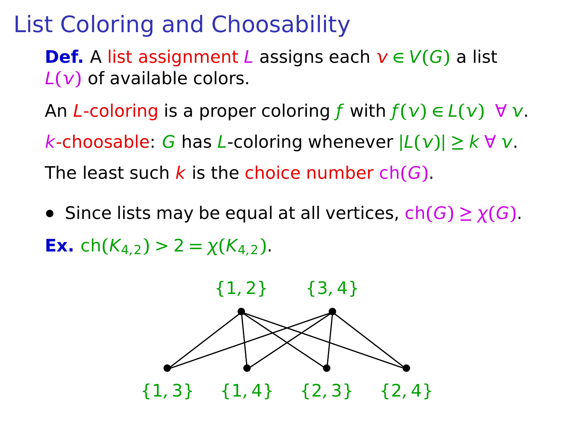**Def.** A list assignment *L* assigns each  $v \in V(G)$  a list L**()** of available colors.

An L-coloring is a proper coloring f with  $f(v) \in L(v)$   $\forall v$ .

k-choosable: G has L-coloring whenever **|**L**()| ≥** k ∀ .

The least such k is the choice number ch**(**G**)**.

**•** Since lists may be equal at all vertices,  $ch(G) \geq \chi(G)$ . **Ex.** ch( $K_4$ <sub>2</sub>) > 2 =  $\chi(K_4)$ .

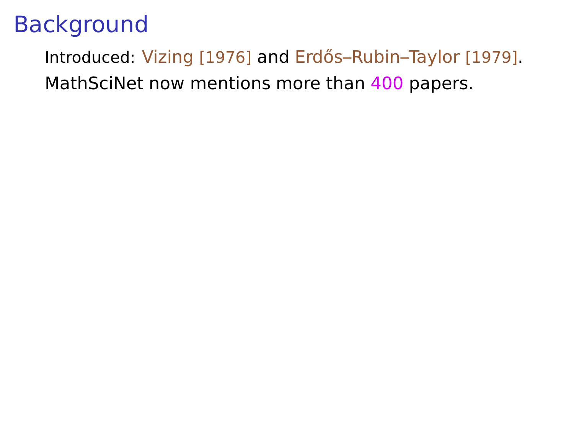Introduced: Vizing [1976] and Erdős-Rubin-Taylor [1979]. MathSciNet now mentions more than 400 papers.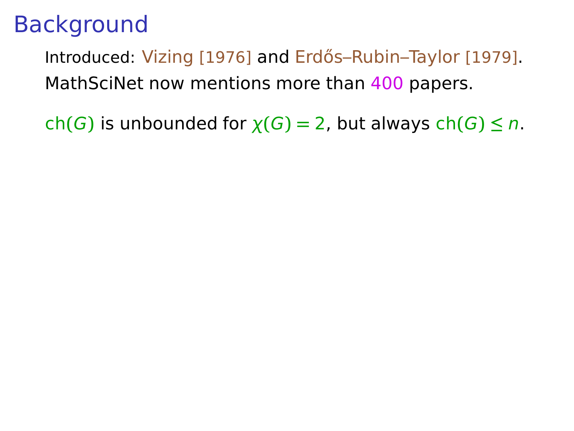Introduced: Vizing [1976] and Erdős–Rubin–Taylor [1979]. MathSciNet now mentions more than 400 papers.

ch(G) is unbounded for  $\chi(G) = 2$ , but always ch(G)  $\leq n$ .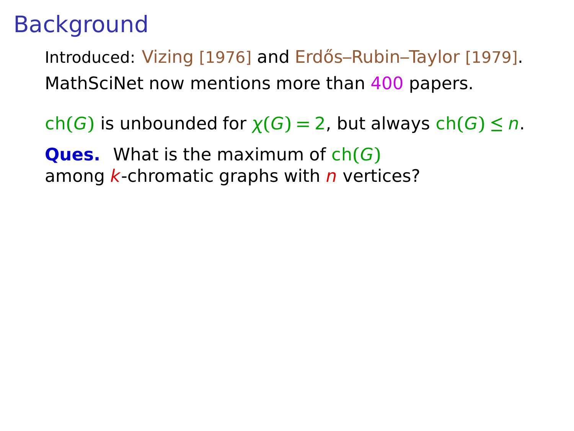Introduced: Vizing [1976] and Erdős–Rubin–Taylor [1979]. MathSciNet now mentions more than 400 papers.

ch(G) is unbounded for  $\chi(G) = 2$ , but always ch(G)  $\leq n$ .

**Ques.** What is the maximum of ch**(**G**)** among  $k$ -chromatic graphs with  $n$  vertices?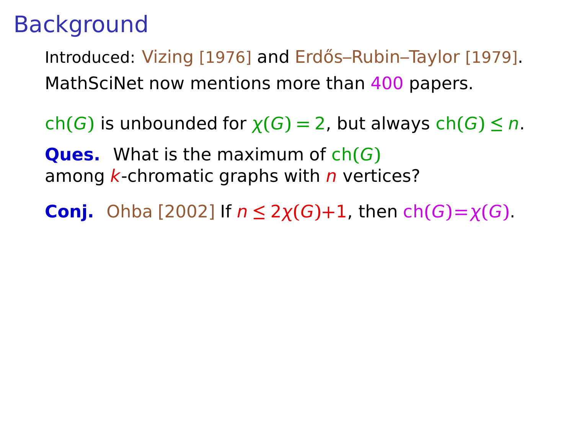Introduced: Vizing [1976] and Erdős–Rubin–Taylor [1979]. MathSciNet now mentions more than 400 papers.

ch(G) is unbounded for  $\chi(G) = 2$ , but always ch(G)  $\leq n$ .

**Ques.** What is the maximum of ch**(**G**)** among  $k$ -chromatic graphs with  $n$  vertices?

**Conj.** Ohba [2002] If  $n \leq 2\chi(G)+1$ , then  $\text{ch}(G) = \chi(G)$ .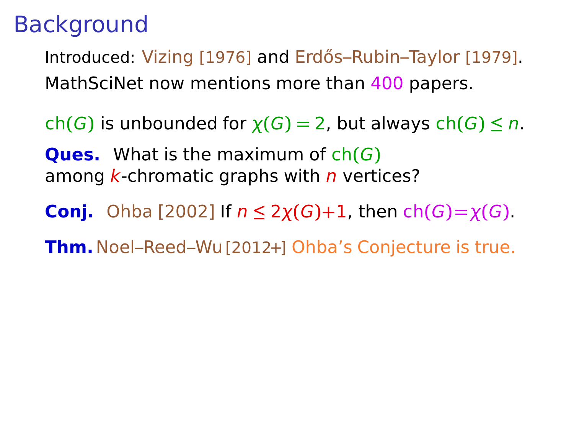Introduced: Vizing [1976] and Erdős–Rubin–Taylor [1979]. MathSciNet now mentions more than 400 papers.

ch(G) is unbounded for  $\chi(G) = 2$ , but always ch(G)  $\leq n$ .

**Ques.** What is the maximum of ch**(**G**)** among  $k$ -chromatic graphs with  $n$  vertices?

**Conj.** Ohba [2002] If  $n \leq 2\chi(G)+1$ , then  $\text{ch}(G) = \chi(G)$ .

**Thm.**Noel–Reed–Wu[2012+] Ohba's Conjecture is true.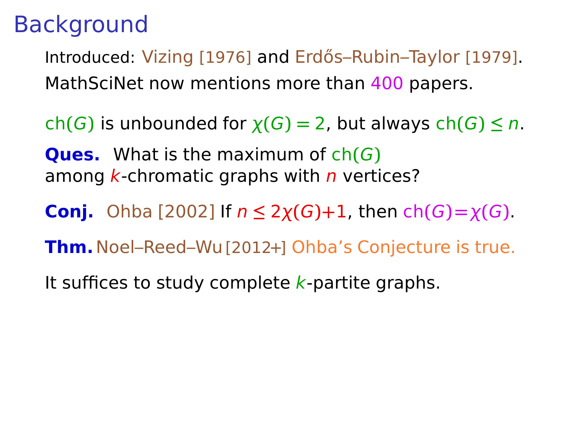Introduced: Vizing [1976] and Erdős–Rubin–Taylor [1979]. MathSciNet now mentions more than 400 papers.

ch(G) is unbounded for  $\chi(G) = 2$ , but always ch(G)  $\leq n$ .

**Ques.** What is the maximum of ch**(**G**)** among  $k$ -chromatic graphs with  $n$  vertices?

**Conj.** Ohba [2002] If  $n \leq 2\chi(G)+1$ , then  $\text{ch}(G) = \chi(G)$ .

**Thm.**Noel–Reed–Wu[2012+] Ohba's Conjecture is true.

It suffices to study complete  $k$ -partite graphs.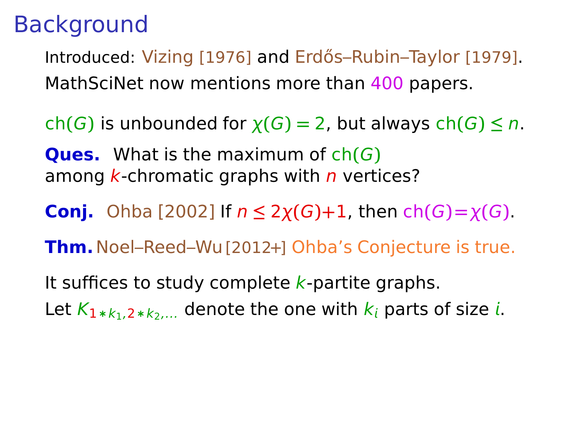Introduced: Vizing [1976] and Erdős–Rubin–Taylor [1979]. MathSciNet now mentions more than 400 papers.

ch(G) is unbounded for  $\chi(G) = 2$ , but always ch(G)  $\leq n$ .

**Ques.** What is the maximum of ch**(**G**)** among  $k$ -chromatic graphs with  $n$  vertices?

**Conj.** Ohba [2002] If  $n \leq 2\chi(G)+1$ , then  $\text{ch}(G) = \chi(G)$ .

**Thm.**Noel–Reed–Wu[2012+] Ohba's Conjecture is true.

It suffices to study complete  $k$ -partite graphs. Let  $K_{1*k_1,2*k_2,\ldots}$  denote the one with  $k_i$  parts of size *i*.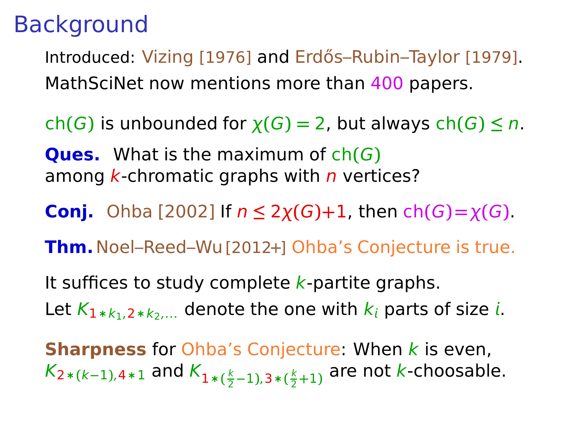Introduced: Vizing [1976] and Erdős–Rubin–Taylor [1979]. MathSciNet now mentions more than 400 papers.

ch(G) is unbounded for  $\chi(G) = 2$ , but always ch(G)  $\leq n$ .

**Ques.** What is the maximum of ch**(**G**)** among  $k$ -chromatic graphs with  $n$  vertices?

**Conj.** Ohba [2002] If  $n ≤ 2χ(G)+1$ , then ch $(G) = χ(G)$ .

**Thm.**Noel–Reed–Wu[2012+] Ohba's Conjecture is true.

It suffices to study complete  $k$ -partite graphs. Let  $K_{1*k_1,2*k_2,\ldots}$  denote the one with  $k_i$  parts of size *i*.

**Sharpness** for Ohba's Conjecture: When k is even,  $K_{2*(k-1),4*1}$  and  $K_{1*(\frac{k}{2}-1),3*(\frac{k}{2}+1)}$  are not  $k$ -choosable.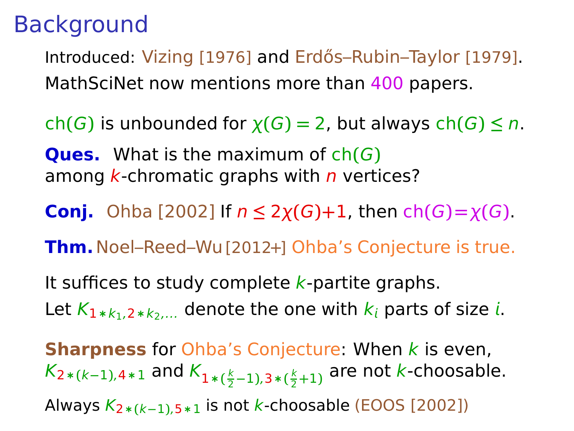Introduced: Vizing [1976] and Erdős–Rubin–Taylor [1979]. MathSciNet now mentions more than 400 papers.

ch(G) is unbounded for  $\chi(G) = 2$ , but always ch(G)  $\leq n$ .

**Ques.** What is the maximum of ch**(**G**)** among  $k$ -chromatic graphs with  $n$  vertices?

**Conj.** Ohba [2002] If  $n \leq 2\chi(G)+1$ , then  $\text{ch}(G) = \chi(G)$ .

**Thm.**Noel–Reed–Wu[2012+] Ohba's Conjecture is true.

It suffices to study complete  $k$ -partite graphs. Let  $K_{1*k_1,2*k_2,\ldots}$  denote the one with  $k_i$  parts of size *i*.

**Sharpness** for Ohba's Conjecture: When k is even,  $K_{2*(k-1),4*1}$  and  $K_{1*(\frac{k}{2}-1),3*(\frac{k}{2}+1)}$  are not  $k$ -choosable. Always K2∗**(**k**−**1**)**,5∗1 is not k-choosable (EOOS [2002])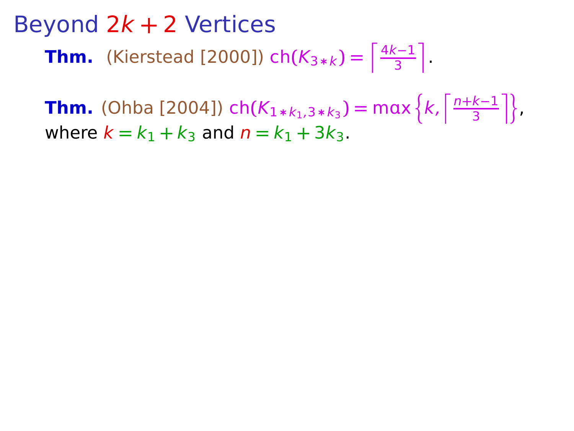**Thm.** (Ohba [2004]) ch( $K_{1*k_1,3*k_3}$ ) = max  $\left\{k,\frac{n+k-1}{3}\right\}$  $\frac{k-1}{3}$  }, where  $k = k_1 + k_3$  and  $n = k_1 + 3k_3$ .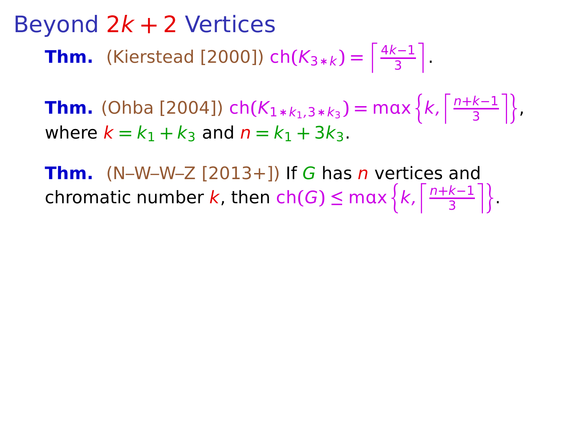**Thm.** (Ohba [2004]) ch( $K_{1*k_1,3*k_3}$ ) = max  $\left\{k,\frac{n+k-1}{3}\right\}$  $\frac{k-1}{3}$  }, where  $k = k_1 + k_3$  and  $n = k_1 + 3k_3$ .

**Thm.** (N–W–W–Z  $[2013+1]$ ) If G has *n* vertices and chromatic number k, then  $ch(G) \leq max \left\{ k, \left\lceil \frac{n+k-1}{3} \right\rceil \right\}$  $\frac{k-1}{3}$  | }.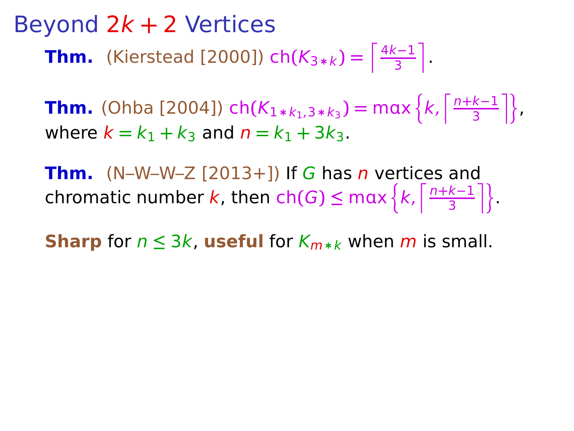**Thm.** (Ohba [2004]) ch( $K_{1*k_1,3*k_3}$ ) = max  $\left\{k,\frac{n+k-1}{3}\right\}$  $\frac{k-1}{3}$  }, where  $k = k_1 + k_3$  and  $n = k_1 + 3k_3$ .

**Thm.** (N–W–W–Z  $[2013+1]$ ) If G has *n* vertices and chromatic number k, then  $ch(G) \leq max \left\{ k, \left\lceil \frac{n+k-1}{3} \right\rceil \right\}$  $\frac{k-1}{3}$  | }.

**Sharp** for  $n \leq 3k$ , **useful** for  $K_{m*k}$  when m is small.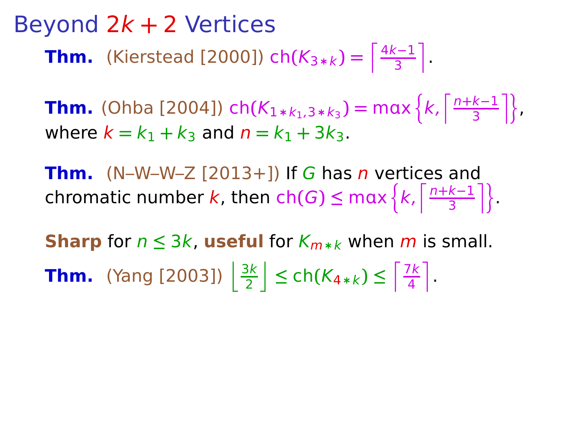**Thm.** (Ohba [2004]) ch( $K_{1*k_1,3*k_3}$ ) = max  $\left\{k,\frac{n+k-1}{3}\right\}$  $\frac{k-1}{3}$  }, where  $k = k_1 + k_3$  and  $n = k_1 + 3k_3$ .

**Thm.** (N–W–W–Z  $[2013+1]$ ) If G has *n* vertices and chromatic number k, then  $ch(G) \leq max \left\{ k, \left\lceil \frac{n+k-1}{3} \right\rceil \right\}$  $\frac{k-1}{3}$  | }.

**Sharp** for  $n \leq 3k$ , **useful** for  $K_{m*k}$  when m is small. **Thm.** (Yang [2003])  $\frac{3k}{2}$  $\left[\frac{3k}{2}\right]$  ≤ ch( $K_{4*k}$ ) ≤  $\left[\frac{7k}{4}\right]$  $\frac{7k}{4}$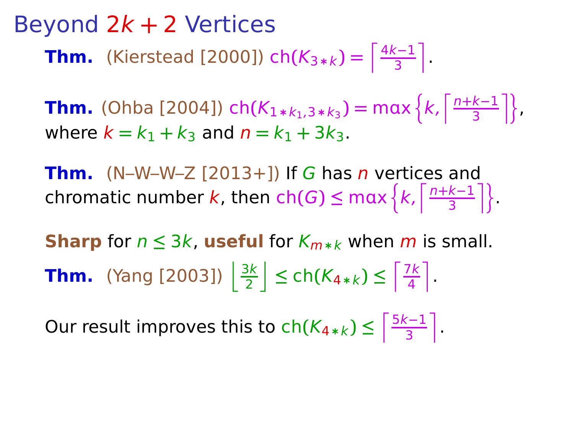**Thm.** (Ohba [2004]) ch( $K_{1*k_1,3*k_3}$ ) = max  $\left\{k,\frac{n+k-1}{3}\right\}$  $\frac{k-1}{3}$  }, where  $k = k_1 + k_3$  and  $n = k_1 + 3k_3$ .

**Thm.** (N–W–W–Z  $[2013+1]$ ) If G has *n* vertices and chromatic number k, then  $ch(G) \leq max \left\{ k, \left\lceil \frac{n+k-1}{3} \right\rceil \right\}$  $\frac{k-1}{3}$  | }.

**Sharp** for  $n \leq 3k$ , **useful** for  $K_{m*k}$  when m is small. **Thm.** (Yang [2003])  $\frac{3k}{2}$  $\left[\frac{3k}{2}\right]$  ≤ ch( $K_{4*k}$ ) ≤  $\left[\frac{7k}{4}\right]$  $\frac{7k}{4}$ 

Our result improves this to  $ch(K_{4*k}) \leq \lceil \frac{5k-1}{3} \rceil$ 3 m .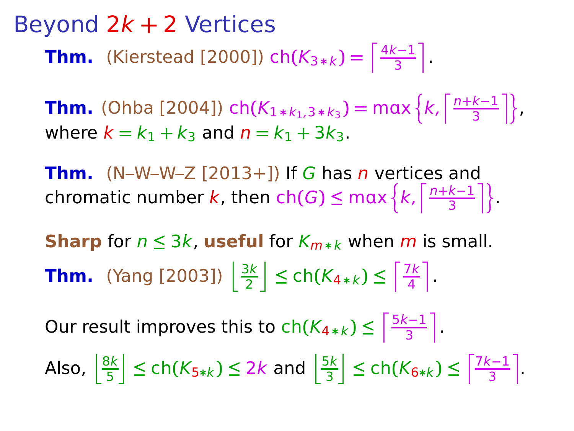**Thm.** (Ohba [2004]) ch $(K_{1*k_1,3*k_3}) = max\left\{k, \frac{n+k-1}{3}\right\}$  $\frac{k-1}{3}$  }, where  $k = k_1 + k_3$  and  $n = k_1 + 3k_3$ .

**Thm.** (N–W–W–Z  $[2013+1]$ ) If G has *n* vertices and chromatic number k, then  $ch(G) \leq max \left\{ k, \left\lceil \frac{n+k-1}{3} \right\rceil \right\}$  $\frac{k-1}{3}$  | }.

**Sharp** for  $n \leq 3k$ , **useful** for  $K_{m*k}$  when m is small. **Thm.** (Yang [2003])  $\frac{3k}{2}$  $\left[\frac{3k}{2}\right]$  ≤ ch( $K_{4*k}$ ) ≤  $\left[\frac{7k}{4}\right]$  $\frac{7k}{4}$ 

Our result improves this to  $ch(K_{4*k}) \leq \lceil \frac{5k-1}{3} \rceil$ 3 m .

Also,  $\frac{8k}{5}$ 5  $\frac{1}{3}$  ≤ ch(K<sub>5\*k</sub>) ≤ 2k and  $\frac{5k}{3}$ 3  $\leq$  ch( $K_{6*k}$ ) ≤  $\frac{7k-1}{3}$ 3 m .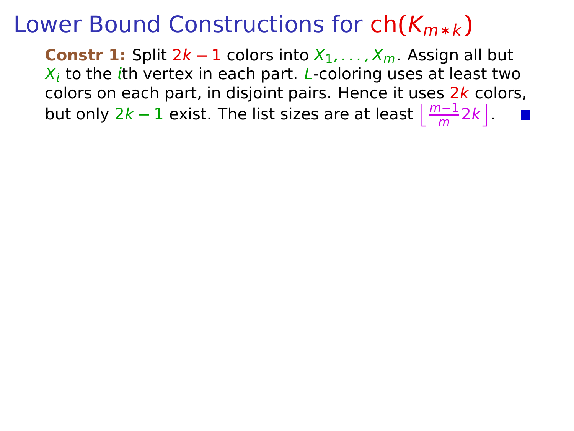**Constr 1:** Split  $2k - 1$  colors into  $X_1, \ldots, X_m$ . Assign all but  $X_i$  to the ith vertex in each part. L-coloring uses at least two colors on each part, in disjoint pairs. Hence it uses  $2k$  colors, but only 2k – 1 exist. The list sizes are at least  $\left\lfloor \frac{m-1}{m} 2k \right\rfloor$ .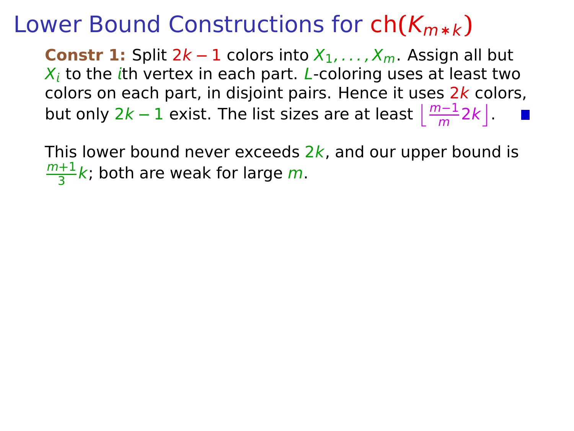**Constr 1:** Split  $2k - 1$  colors into  $X_1, \ldots, X_m$ . Assign all but  $X_i$  to the ith vertex in each part. L-coloring uses at least two colors on each part, in disjoint pairs. Hence it uses  $2k$  colors, but only 2k – 1 exist. The list sizes are at least  $\left\lfloor \frac{m-1}{m} 2k \right\rfloor$ .

This lower bound never exceeds  $2k$ , and our upper bound is m**+**1  $\frac{+1}{3}k$ ; both are weak for large m.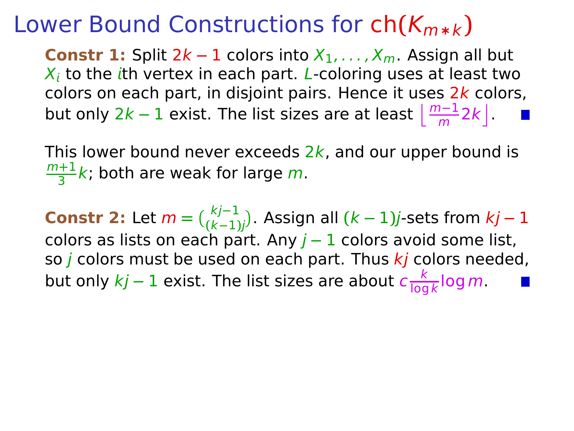**Constr 1:** Split  $2k - 1$  colors into  $X_1, \ldots, X_m$ . Assign all but  $X_i$  to the ith vertex in each part. L-coloring uses at least two colors on each part, in disjoint pairs. Hence it uses  $2k$  colors, but only 2k – 1 exist. The list sizes are at least  $\left\lfloor \frac{m-1}{m} 2k \right\rfloor$ .

This lower bound never exceeds  $2k$ , and our upper bound is m**+**1  $\frac{+1}{3}k$ ; both are weak for large m.

**Constr 2:** Let  $m = \binom{kj-1}{(k-1)j}$ . Assign all  $(k-1)j$ -sets from  $kj-1$ colors as lists on each part. Any j **−** 1 colors avoid some list, so *j* colors must be used on each part. Thus  $kj$  colors needed, but only  $kj - 1$  exist. The list sizes are about  $c \frac{k}{\log n}$  $\frac{\kappa}{\log k}$ log  $m$  .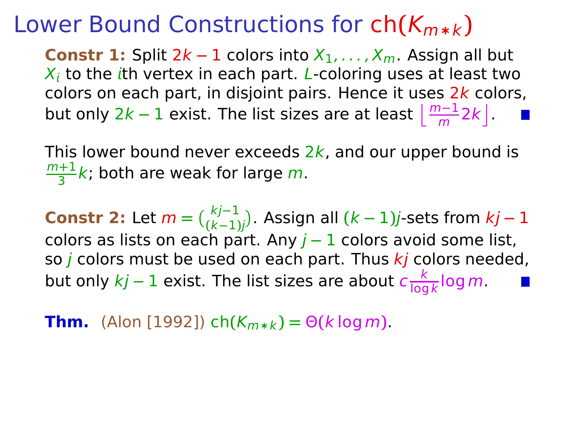**Constr 1:** Split  $2k - 1$  colors into  $X_1, \ldots, X_m$ . Assign all but  $X_i$  to the ith vertex in each part. L-coloring uses at least two colors on each part, in disjoint pairs. Hence it uses  $2k$  colors, but only 2k – 1 exist. The list sizes are at least  $\left\lfloor \frac{m-1}{m} 2k \right\rfloor$ .

This lower bound never exceeds  $2k$ , and our upper bound is m**+**1  $\frac{+1}{3}k$ ; both are weak for large m.

**Constr 2:** Let  $m = \binom{kj-1}{(k-1)j}$ . Assign all  $(k-1)j$ -sets from  $kj-1$ colors as lists on each part. Any j **−** 1 colors avoid some list, so *j* colors must be used on each part. Thus  $k_j$  colors needed, but only  $kj - 1$  exist. The list sizes are about  $c \frac{k}{\log n}$  $\frac{\kappa}{\log k}$ log  $m$  .

**Thm.** (Alon [1992]) ch $(K_{m*k}) = \Theta(k \log m)$ .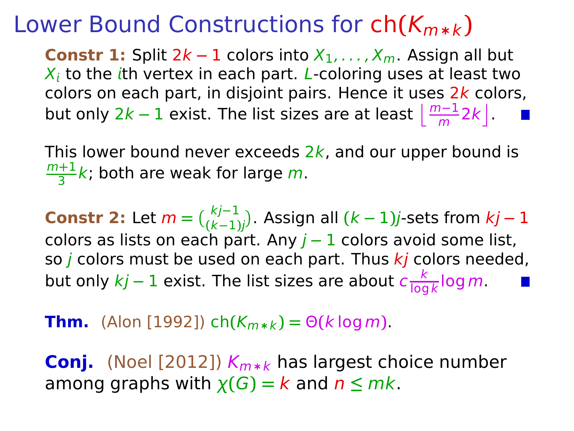**Constr 1:** Split  $2k - 1$  colors into  $X_1, \ldots, X_m$ . Assign all but  $X_i$  to the ith vertex in each part. L-coloring uses at least two colors on each part, in disjoint pairs. Hence it uses  $2k$  colors, but only 2k – 1 exist. The list sizes are at least  $\left\lfloor \frac{m-1}{m} 2k \right\rfloor$ .

This lower bound never exceeds  $2k$ , and our upper bound is m**+**1  $\frac{+1}{3}k$ ; both are weak for large m.

**Constr 2:** Let  $m = \binom{kj-1}{(k-1)j}$ . Assign all  $(k-1)j$ -sets from  $kj-1$ colors as lists on each part. Any j **−** 1 colors avoid some list, so *j* colors must be used on each part. Thus  $k_j$  colors needed, but only  $kj - 1$  exist. The list sizes are about  $c \frac{k}{\log n}$  $\frac{\kappa}{\log k}$ log  $m$  .

#### **Thm.** (Alon [1992]) ch $(K_{m*k}) = \Theta(k \log m)$ .

**Conj.** (Noel [2012])  $K_{m*k}$  has largest choice number among graphs with  $\chi(G) = k$  and  $n \leq m k$ .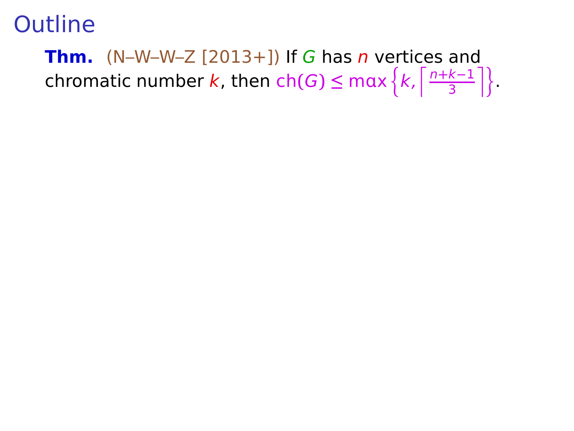**Thm.** (N–W–W–Z  $[2013+1]$ ) If G has n vertices and chromatic number k, then  $ch(G) \leq max \left\{ k, \left\lceil \frac{n+k-1}{3} \right\rceil \right\}$  $\frac{k-1}{3}$  | }.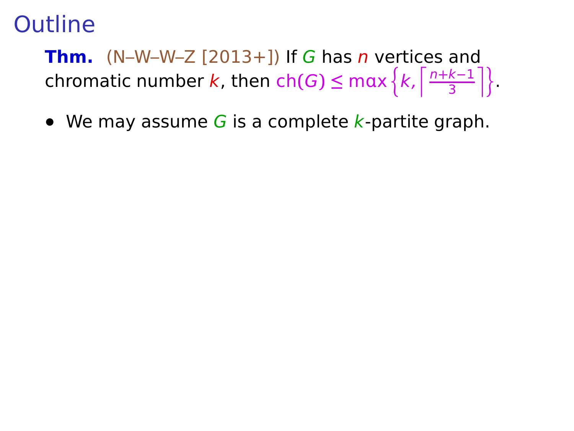**Thm.** (N–W–W–Z  $[2013+1]$ ) If G has *n* vertices and chromatic number k, then  $ch(G) \leq max \left\{ k, \left\lceil \frac{n+k-1}{3} \right\rceil \right\}$  $\frac{k-1}{3}$  | }.

• We may assume G is a complete k-partite graph.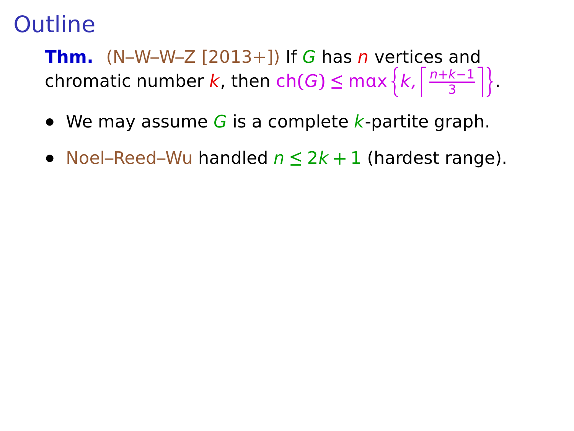**Thm.** (N–W–W–Z  $[2013+1]$ ) If G has *n* vertices and chromatic number k, then  $ch(G) \leq max \left\{ k, \left\lceil \frac{n+k-1}{3} \right\rceil \right\}$  $\frac{k-1}{3}$  | }.

- We may assume G is a complete k-partite graph.
- **•** Noel–Reed–Wu handled n **≤** 2k **+** 1 (hardest range).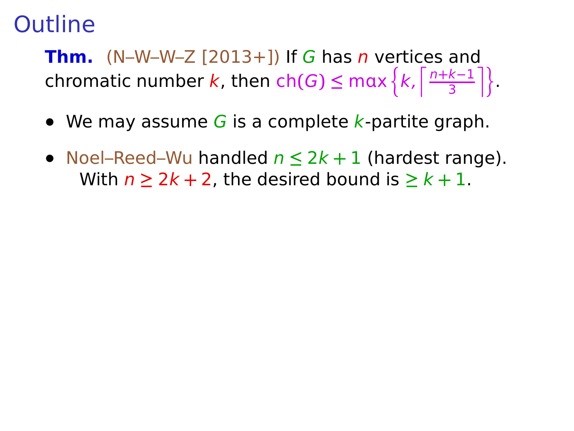**Thm.**  $(N-W-W-Z [2013+])$  If G has *n* vertices and chromatic number k, then  $ch(G) \leq max \left\{ k, \left\lceil \frac{n+k-1}{3} \right\rceil \right\}$  $\frac{k-1}{3}$  | }.

- We may assume G is a complete k-partite graph.
- **•** Noel–Reed–Wu handled n **≤** 2k **+** 1 (hardest range). With  $n \geq 2k + 2$ , the desired bound is  $\geq k + 1$ .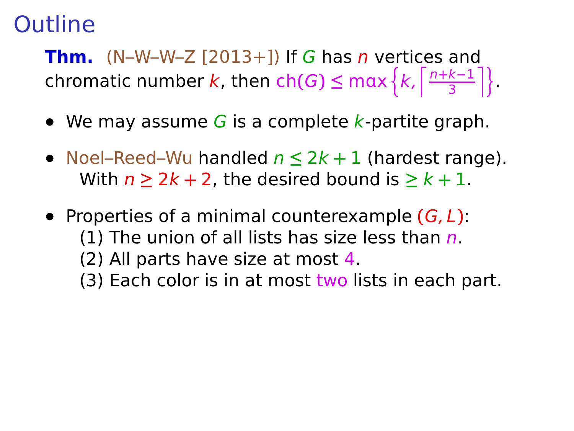**Thm.** (N–W–W–Z  $[2013+1]$ ) If G has n vertices and chromatic number k, then  $ch(G) \leq max \left\{ k, \left\lceil \frac{n+k-1}{3} \right\rceil \right\}$  $\frac{k-1}{3}$  | }.

- We may assume G is a complete k-partite graph.
- **•** Noel–Reed–Wu handled n **≤** 2k **+** 1 (hardest range). With  $n > 2k + 2$ , the desired bound is  $\geq k + 1$ .
- **•** Properties of a minimal counterexample **(**G, L**)**: (1) The union of all lists has size less than  $n$ .
	- (2) All parts have size at most 4.
	- (3) Each color is in at most two lists in each part.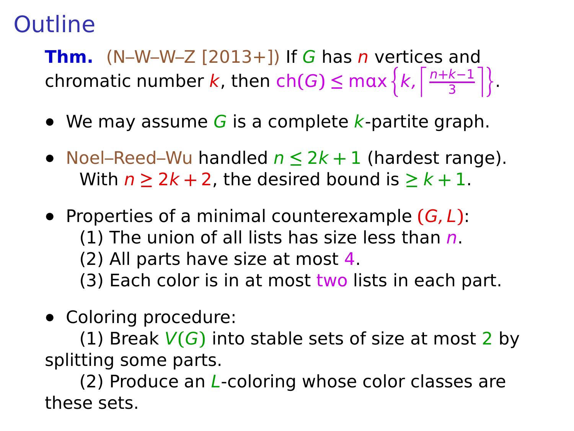**Thm.** (N–W–W–Z  $[2013+1]$ ) If G has *n* vertices and chromatic number k, then  $ch(G) \leq max \left\{ k, \left\lceil \frac{n+k-1}{3} \right\rceil \right\}$  $\frac{k-1}{3}$  | }.

- We may assume G is a complete k-partite graph.
- **•** Noel–Reed–Wu handled n **≤** 2k **+** 1 (hardest range). With  $n > 2k + 2$ , the desired bound is  $\geq k + 1$ .
- **•** Properties of a minimal counterexample **(**G, L**)**: (1) The union of all lists has size less than  $n$ .
	- (2) All parts have size at most 4.
	- (3) Each color is in at most two lists in each part.
- **•** Coloring procedure:

(1) Break V**(**G**)** into stable sets of size at most 2 by splitting some parts.

(2) Produce an  $L$ -coloring whose color classes are these sets.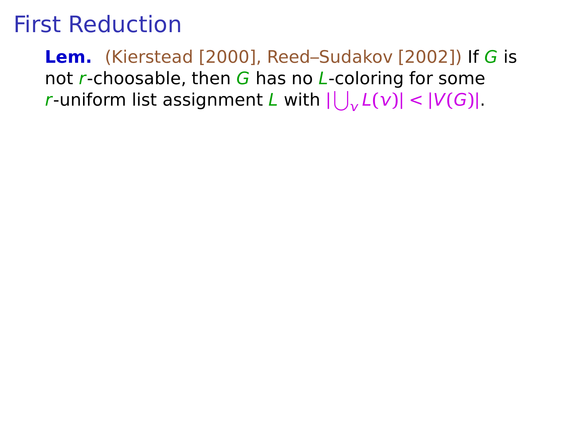# First Reduction

**Lem.** (Kierstead [2000], Reed–Sudakov [2002]) If G is not  $r$ -choosable, then  $G$  has no  $L$ -coloring for some *r*-uniform list assignment *L* with  $|\bigcup_{v} L(v)| < |V(G)|$ .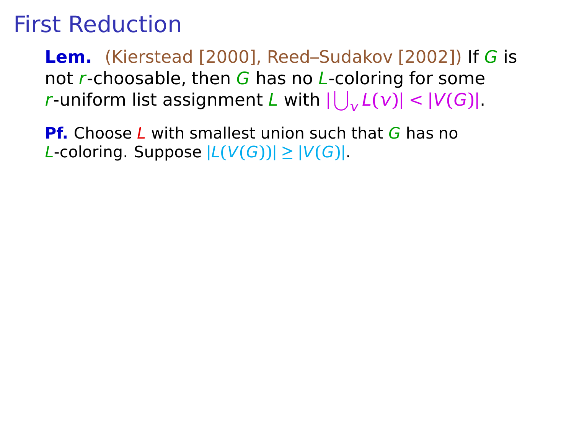# First Reduction

**Lem.** (Kierstead [2000], Reed–Sudakov [2002]) If G is not r-choosable, then  $G$  has no L-coloring for some *r*-uniform list assignment *L* with  $|\bigcup_{v} L(v)| < |V(G)|$ .

**Pf.** Choose L with smallest union such that G has no  $L$ -coloring. Suppose  $|L(V(G))| \geq |V(G)|$ .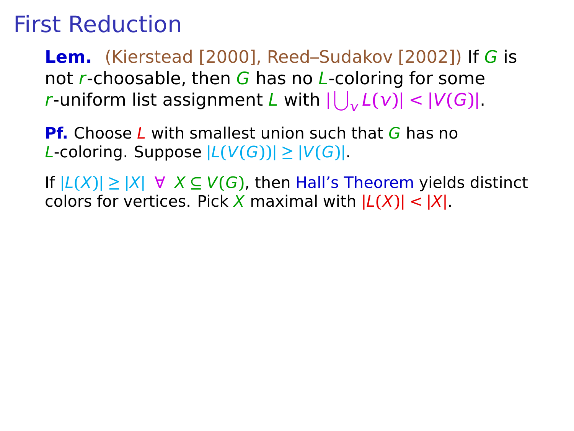**Lem.** (Kierstead [2000], Reed–Sudakov [2002]) If G is not r-choosable, then G has no L-coloring for some *r*-uniform list assignment *L* with  $|\bigcup_{v} L(v)| < |V(G)|$ .

**Pf.** Choose L with smallest union such that G has no  $L$ -coloring. Suppose  $|L(V(G))| \geq |V(G)|$ .

If **|**L**(**X**)| ≥ |**X**|** ∀ X **⊆** V**(**G**)**, then Hall's Theorem yields distinct colors for vertices. Pick X maximal with  $|L(X)| < |X|$ .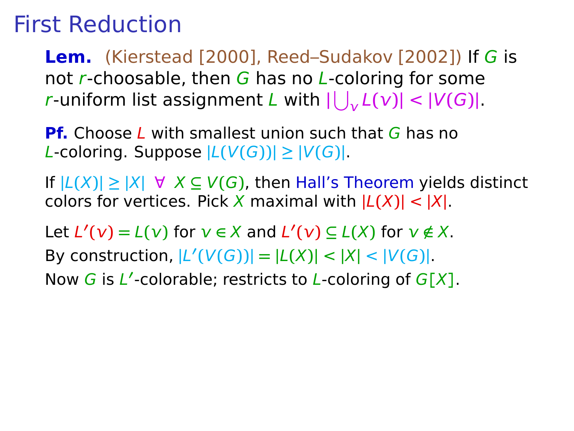**Lem.** (Kierstead [2000], Reed–Sudakov [2002]) If G is not r-choosable, then G has no L-coloring for some *r*-uniform list assignment *L* with  $|\bigcup_{v} L(v)| < |V(G)|$ .

**Pf.** Choose L with smallest union such that G has no  $L$ -coloring. Suppose  $|L(V(G))| \geq |V(G)|$ .

If **|**L**(**X**)| ≥ |**X**|** ∀ X **⊆** V**(**G**)**, then Hall's Theorem yields distinct colors for vertices. Pick X maximal with  $|L(X)| < |X|$ .

Let  $L'(v) = L(v)$  for  $v \in X$  and  $L'(v) \subseteq L(X)$  for  $v \notin X$ . By construction,  $|L'(V(G))| = |L(X)| < |X| < |V(G)|$ .

Now G is L **′** -colorable; restricts to L-coloring of G**[**X**]**.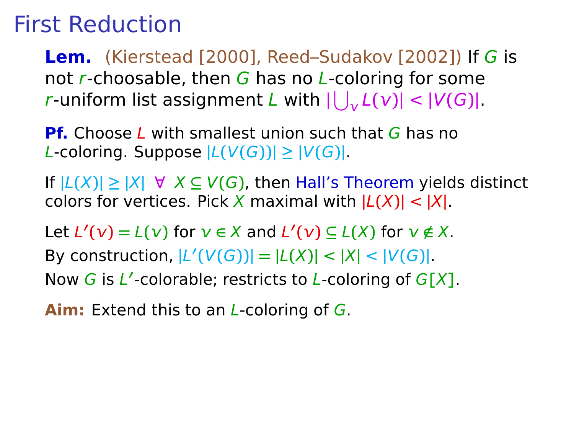**Lem.** (Kierstead [2000], Reed–Sudakov [2002]) If G is not r-choosable, then G has no L-coloring for some *r*-uniform list assignment *L* with  $|\bigcup_{v} L(v)| < |V(G)|$ .

**Pf.** Choose L with smallest union such that G has no  $L$ -coloring. Suppose  $|L(V(G))| \geq |V(G)|$ .

If **|**L**(**X**)| ≥ |**X**|** ∀ X **⊆** V**(**G**)**, then Hall's Theorem yields distinct colors for vertices. Pick X maximal with  $|L(X)| < |X|$ .

Let  $L'(v) = L(v)$  for  $v \in X$  and  $L'(v) \subseteq L(X)$  for  $v \notin X$ . By construction,  $|L'(V(G))| = |L(X)| < |X| < |V(G)|$ .

Now G is L **′** -colorable; restricts to L-coloring of G**[**X**]**.

**Aim:** Extend this to an L-coloring of G.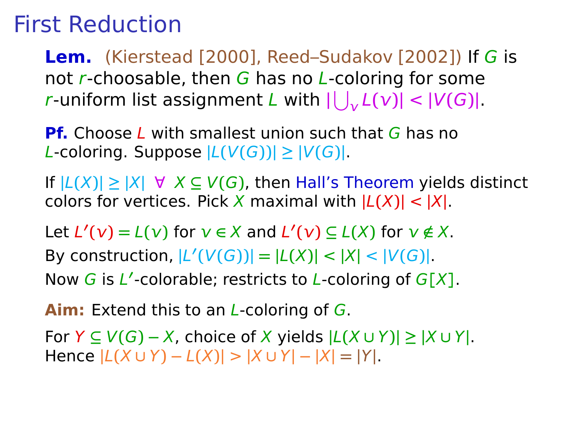**Lem.** (Kierstead [2000], Reed–Sudakov [2002]) If G is not r-choosable, then G has no L-coloring for some *r*-uniform list assignment *L* with  $|\bigcup_{v} L(v)| < |V(G)|$ .

**Pf.** Choose L with smallest union such that G has no  $L$ -coloring. Suppose  $|L(V(G))| \geq |V(G)|$ .

If **|**L**(**X**)| ≥ |**X**|** ∀ X **⊆** V**(**G**)**, then Hall's Theorem yields distinct colors for vertices. Pick X maximal with  $|L(X)| < |X|$ .

Let  $L'(v) = L(v)$  for  $v \in X$  and  $L'(v) \subseteq L(X)$  for  $v \notin X$ . By construction,  $|L'(V(G))| = |L(X)| < |X| < |V(G)|$ .

Now G is L **′** -colorable; restricts to L-coloring of G**[**X**]**.

**Aim:** Extend this to an L-coloring of G.

For Y **⊆** V**(**G**) −** X, choice of X yields **|**L**(**X **∪** Y**)| ≥ |**X **∪** Y**|**. Hence **|**L**(**X **∪** Y**) −** L**(**X**)|** > **|**X **∪** Y**| − |**X**| = |**Y**|**.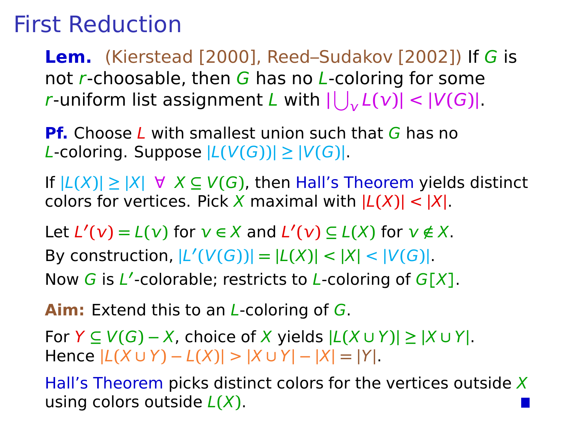**Lem.** (Kierstead [2000], Reed–Sudakov [2002]) If G is not r-choosable, then G has no L-coloring for some *r*-uniform list assignment *L* with  $|\bigcup_{v} L(v)| < |V(G)|$ .

**Pf.** Choose L with smallest union such that G has no  $L$ -coloring. Suppose  $|L(V(G))| \geq |V(G)|$ .

If **|**L**(**X**)| ≥ |**X**|** ∀ X **⊆** V**(**G**)**, then Hall's Theorem yields distinct colors for vertices. Pick X maximal with  $|L(X)| < |X|$ .

Let  $L'(v) = L(v)$  for  $v \in X$  and  $L'(v) \subseteq L(X)$  for  $v \notin X$ . By construction,  $|L'(V(G))| = |L(X)| < |X| < |V(G)|$ .

Now G is L **′** -colorable; restricts to L-coloring of G**[**X**]**.

**Aim:** Extend this to an L-coloring of G.

For Y **⊆** V**(**G**) −** X, choice of X yields **|**L**(**X **∪** Y**)| ≥ |**X **∪** Y**|**. Hence **|**L**(**X **∪** Y**) −** L**(**X**)|** > **|**X **∪** Y**| − |**X**| = |**Y**|**.

Hall's Theorem picks distinct colors for the vertices outside  $X$ using colors outside L**(**X**)**.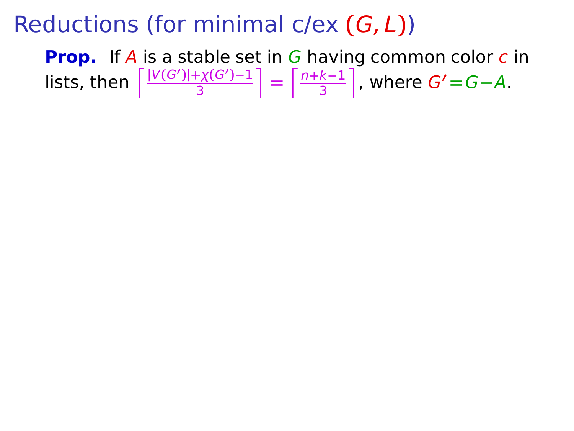**Prop.** If A is a stable set in G having common color c in  $\int_0^{\infty} \frac{|V(G')| + \chi(G') - 1}{3}$ 3  $\left| = \frac{n+k-1}{3} \right|$ 3 m , where G**′ =**G**−**A.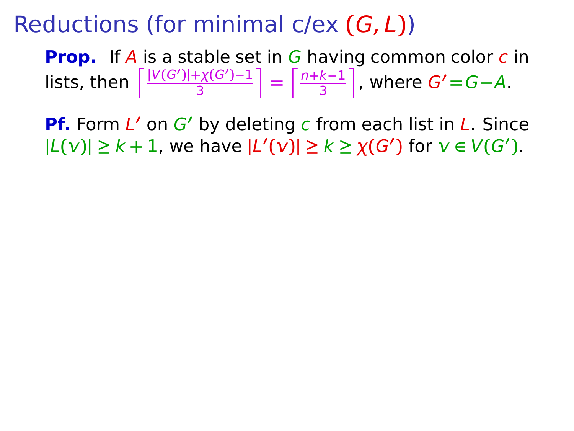**Prop.** If A is a stable set in G having common color c in  $\int_0^{\infty} \frac{|V(G')| + \chi(G') - 1}{3}$ 3  $\left| = \frac{n+k-1}{3} \right|$ 3 m , where G**′ =**G**−**A.

**Pf.** Form L **′** on G**′** by deleting c from each list in L. Since  $|L(v)| \geq k + 1$ , we have  $|L'(v)| \geq k \geq \chi(G')$  for  $v \in V(G')$ .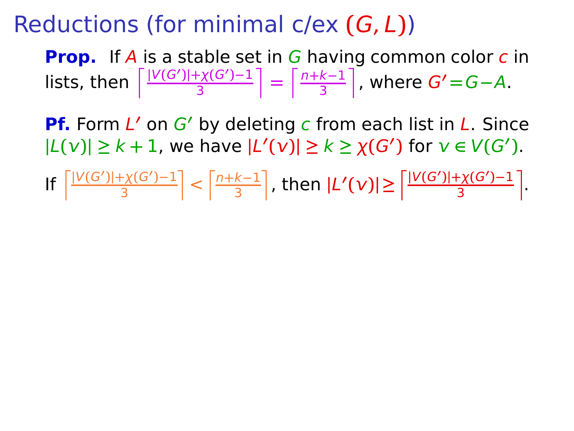**Prop.** If A is a stable set in G having common color c in  $\int_0^{\infty} \frac{|V(G')| + \chi(G') - 1}{3}$ 3  $\left| = \frac{n+k-1}{3} \right|$ 3 m , where G**′ =**G**−**A.

**Pf.** Form L **′** on G**′** by deleting c from each list in L. Since  $|L(v)| \geq k + 1$ , we have  $|L'(v)| \geq k \geq \chi(G')$  for  $v \in V(G')$ .

 $\int_0^{\frac{\ln N(G)}{2}}$ 3  $\left| \frac{n+k-1}{3} \right|$ 3  $|L'(\nu)| \ge \frac{\left[\frac{|\nu(G')| + \chi(G') - 1}{3}\right]}{2}$ 3 m .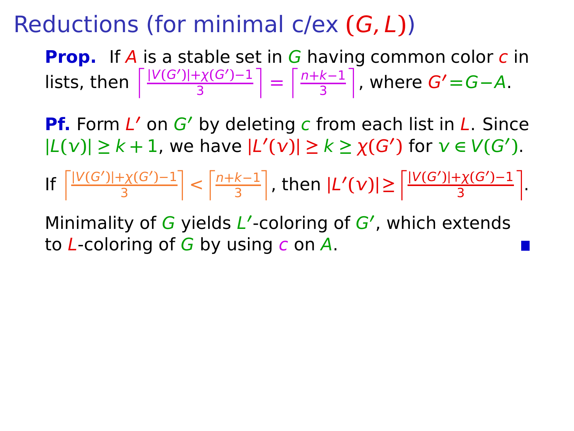**Prop.** If A is a stable set in G having common color c in  $\int_0^{\infty} \frac{|V(G')| + \chi(G') - 1}{3}$ 3  $\left| = \frac{n+k-1}{3} \right|$ 3 m , where G**′ =**G**−**A.

**Pf.** Form L **′** on G**′** by deleting c from each list in L. Since  $|L(v)| \geq k + 1$ , we have  $|L'(v)| \geq k \geq \chi(G')$  for  $v \in V(G')$ .

If 
$$
\left\lceil \frac{|V(G')| + \chi(G') - 1}{3} \right\rceil < \left\lceil \frac{n + k - 1}{3} \right\rceil
$$
, then 
$$
|L'(v)| \ge \left\lceil \frac{|V(G')| + \chi(G') - 1}{3} \right\rceil
$$
.

Minimality of G yields L **′** -coloring of G**′** , which extends to  $L$ -coloring of G by using c on A.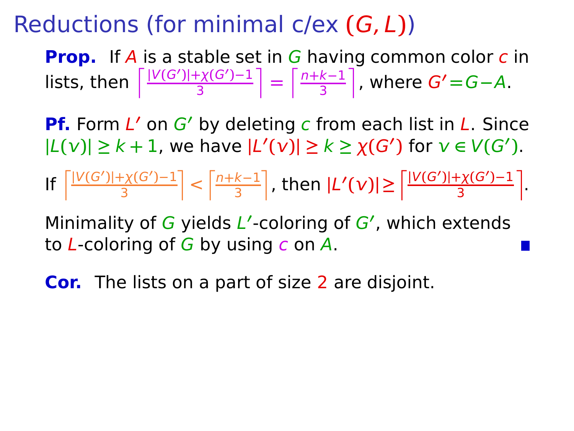**Prop.** If A is a stable set in G having common color c in  $\int_0^{\infty} \frac{|V(G')| + \chi(G') - 1}{3}$ 3  $\left| = \frac{n+k-1}{3} \right|$ 3 m , where G**′ =**G**−**A.

**Pf.** Form L **′** on G**′** by deleting c from each list in L. Since  $|L(v)| \geq k + 1$ , we have  $|L'(v)| \geq k \geq \chi(G')$  for  $v \in V(G')$ .

 $\int_0^{\frac{\ln N(G)}{2}}$ 3  $\left| \frac{n+k-1}{3} \right|$ 3  $|L'(\nu)| \ge \frac{\left[\frac{|\nu(G')| + \chi(G') - 1}{3}\right]}{2}$ 3 m .

Minimality of G yields L **′** -coloring of G**′** , which extends to  $L$ -coloring of G by using c on A.

**Cor.** The lists on a part of size 2 are disjoint.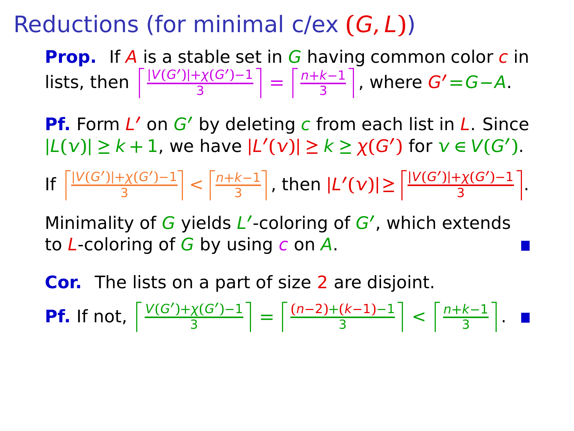**Prop.** If A is a stable set in G having common color c in  $\int_0^{\infty} \frac{|V(G')| + \chi(G') - 1}{3}$ 3  $\left| = \frac{n+k-1}{3} \right|$ 3 m , where G**′ =**G**−**A.

**Pf.** Form L **′** on G**′** by deleting c from each list in L. Since  $|L(v)| \geq k + 1$ , we have  $|L'(v)| \geq k \geq \chi(G')$  for  $v \in V(G')$ .

If 
$$
\left|\frac{|V(G')|+\chi(G')-1}{3}\right| < \left\lceil\frac{n+k-1}{3}\right\rceil, \text{ then } |L'(v)| \ge \left\lceil\frac{|V(G')|+\chi(G')-1}{3}\right\rceil.
$$

Minimality of G yields L **′** -coloring of G**′** , which extends to  $L$ -coloring of G by using c on A.

**Cor.** The lists on a part of size 2 are disjoint. **Pf.** If not,  $\int_0^1 \frac{V(G') + \chi(G') - 1}{3}$ 3  $\left[\frac{(n-2)+(k-1)-1}{3}\right]$ 3  $\left| \left| < \frac{n+k-1}{3} \right| \right.$ 3 m .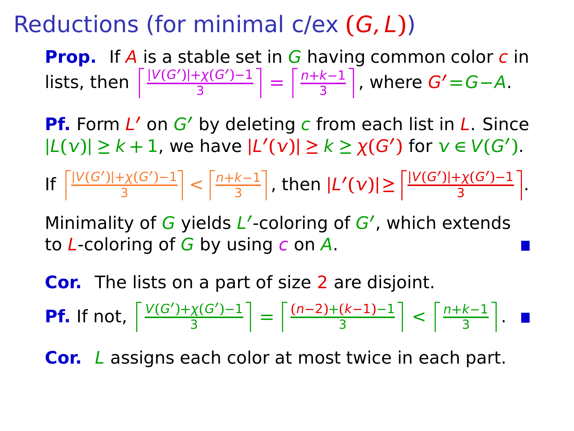**Prop.** If A is a stable set in G having common color c in  $\int_0^{\infty} \frac{|V(G')| + \chi(G') - 1}{3}$ 3  $\left| = \frac{n+k-1}{3} \right|$ 3 m , where G**′ =**G**−**A.

**Pf.** Form L **′** on G**′** by deleting c from each list in L. Since  $|L(v)| \geq k + 1$ , we have  $|L'(v)| \geq k \geq \chi(G')$  for  $v \in V(G')$ .

If 
$$
\left|\frac{|V(G')|+\chi(G')-1}{3}\right| < \left|\frac{n+k-1}{3}\right|
$$
, then  $|L'(v)| \ge \left|\frac{|V(G')|+\chi(G')-1}{3}\right|$ .

Minimality of G yields L **′** -coloring of G**′** , which extends to  $L$ -coloring of G by using c on A.

**Cor.** The lists on a part of size 2 are disjoint. **Pf.** If not,  $\int_0^1 \frac{V(G') + \chi(G') - 1}{3}$ 3  $\left[\frac{(n-2)+(k-1)-1}{3}\right]$ 3  $\left| \left| < \frac{n+k-1}{3} \right| \right.$ 3 m .

**Cor.** L assigns each color at most twice in each part.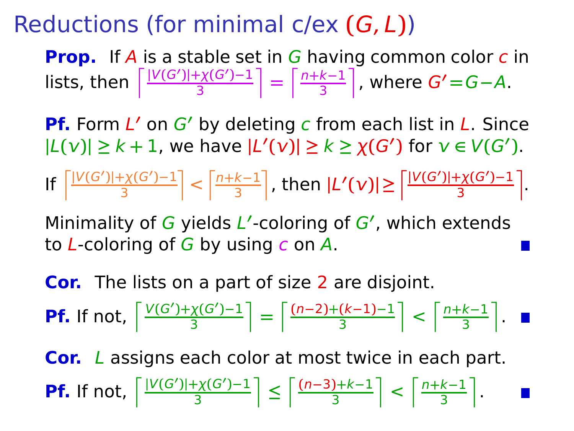**Prop.** If A is a stable set in G having common color c in  $\int_0^{\infty} \frac{|V(G')| + \chi(G') - 1}{3}$ 3  $\left| = \frac{n+k-1}{3} \right|$ 3 m , where G**′ =**G**−**A.

**Pf.** Form L **′** on G**′** by deleting c from each list in L. Since  $|L(v)| \geq k + 1$ , we have  $|L'(v)| \geq k \geq \chi(G')$  for  $v \in V(G')$ .

If 
$$
\left|\frac{|V(G')|+\chi(G')-1}{3}\right| < \left|\frac{n+k-1}{3}\right|
$$
, then  $|L'(v)| \ge \left|\frac{|V(G')|+\chi(G')-1}{3}\right|$ .

Minimality of G yields L **′** -coloring of G**′** , which extends to  $L$ -coloring of G by using c on A.

**Cor.** The lists on a part of size 2 are disjoint. **Pf.** If not,  $\int_0^1 \frac{V(G') + \chi(G') - 1}{3}$ 3  $\left[\frac{(n-2)+(k-1)-1}{3}\right]$ 3  $\left| \left| < \frac{n+k-1}{3} \right| \right.$ 3 m . **Cor.** L assigns each color at most twice in each part.

**Pf.** If not,  $\int_0^1 \frac{|V(G')| + \chi(G') - 1}{3}$  $\left[\frac{f\chi(G')-1}{3}\right] \leq \left[\frac{(n-3)+k-1}{3}\right]$  $\left\lfloor \frac{n+k-1}{3} \right\rfloor < \left\lfloor \frac{n+k-1}{3} \right\rfloor$  $\frac{k-1}{3}$ .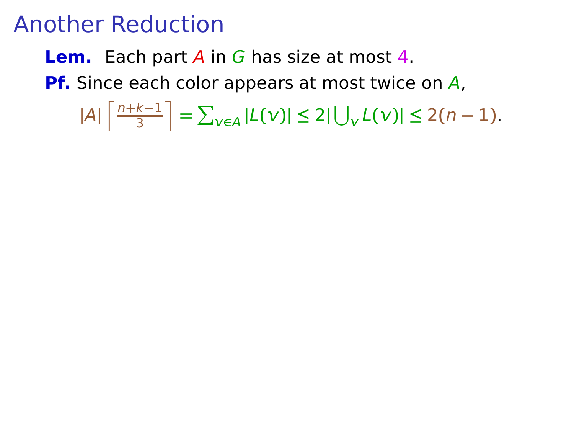#### **Lem.** Each part A in G has size at most 4.

**Pf.** Since each color appears at most twice on A,

 $|A|$   $\frac{n+k-1}{3}$ 3  $\left| \frac{1}{2} \sum_{v \in A} |L(v)| \leq 2|\bigcup_{v} L(v)| \leq 2(n-1).$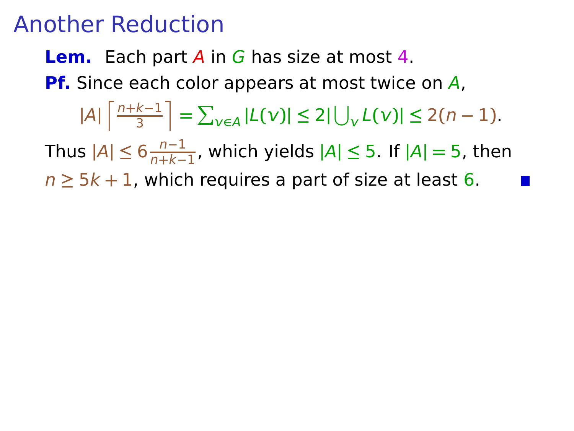#### **Lem.** Each part A in G has size at most 4.

**Pf.** Since each color appears at most twice on A,

$$
|A| \left\lceil \frac{n+k-1}{3} \right\rceil = \sum_{v \in A} |L(v)| \le 2|\bigcup_{v} L(v)| \le 2(n-1).
$$

Thus **|**A**| ≤** 6 n**−**1 n**+**k**−**1 , which yields **|**A**| ≤** 5. If **|**A**| =** 5, then

 $n \geq 5k + 1$ , which requires a part of size at least 6.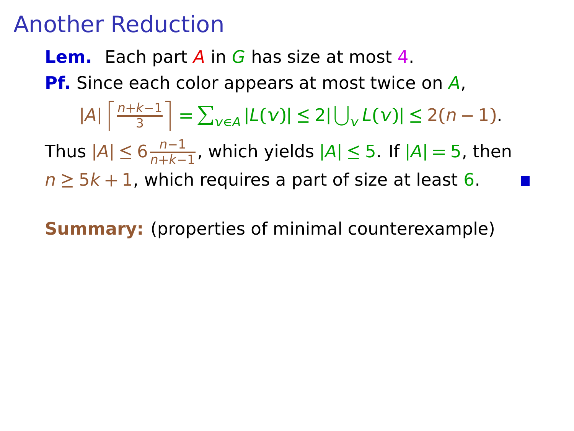#### **Lem.** Each part A in G has size at most 4.

**Pf.** Since each color appears at most twice on A,

$$
|A| \left\lceil \frac{n+k-1}{3} \right\rceil = \sum_{v \in A} |L(v)| \le 2|\bigcup_{v} L(v)| \le 2(n-1).
$$

Thus **|**A**| ≤** 6 n**−**1 n**+**k**−**1 , which yields **|**A**| ≤** 5. If **|**A**| =** 5, then

 $n \geq 5k + 1$ , which requires a part of size at least 6.

**Summary:** (properties of minimal counterexample)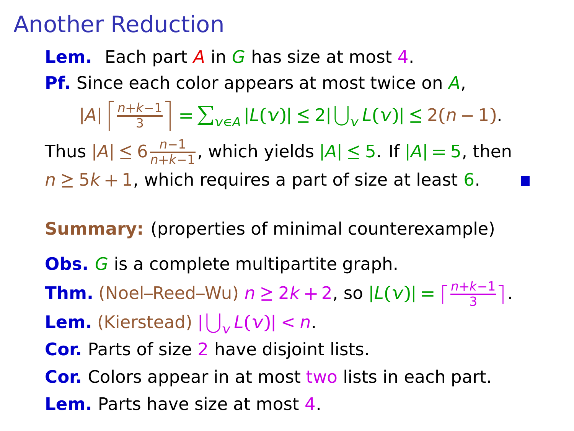#### **Lem.** Each part A in G has size at most 4.

**Pf.** Since each color appears at most twice on A,

 $|A|$   $\frac{n+k-1}{3}$ 3  $\left| \frac{1}{2} \sum_{v \in A} |L(v)| \leq 2|\bigcup_{v} L(v)| \leq 2(n-1).$ 

Thus **|**A**| ≤** 6 n**−**1 n**+**k**−**1 , which yields **|**A**| ≤** 5. If **|**A**| =** 5, then  $n \geq 5k + 1$ , which requires a part of size at least 6.

**Summary:** (properties of minimal counterexample)

**Obs.** G is a complete multipartite graph.

**Thm.** (Noel–Reed–Wu)  $n \ge 2k + 2$ , so  $|L(v)| = \lceil \frac{n+k-1}{3} \rceil$ .

**Lem.** (Kierstead)  $|\bigcup_{v} L(v)| < n$ .

**Cor.** Parts of size 2 have disjoint lists.

**Cor.** Colors appear in at most two lists in each part. **Lem.** Parts have size at most 4.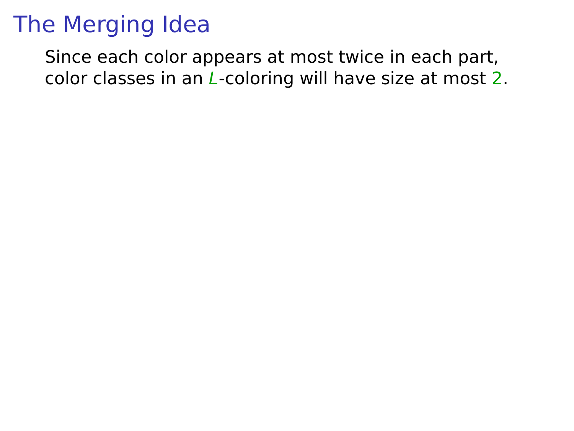Since each color appears at most twice in each part, color classes in an L-coloring will have size at most 2.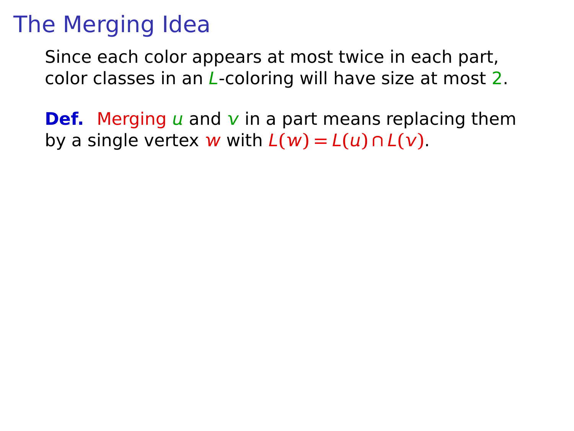Since each color appears at most twice in each part, color classes in an L-coloring will have size at most 2.

**Def.** Merging  $\mu$  and  $\nu$  in a part means replacing them by a single vertex w with  $L(w) = L(u) \cap L(v)$ .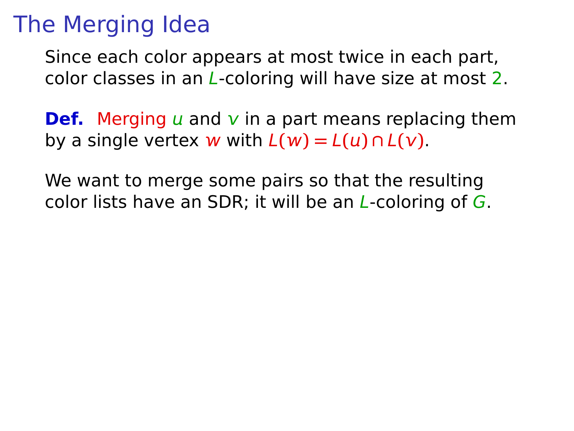Since each color appears at most twice in each part, color classes in an L-coloring will have size at most 2.

**Def.** Merging  $\mu$  and  $\nu$  in a part means replacing them by a single vertex **w** with  $L(w) = L(u) \cap L(v)$ .

We want to merge some pairs so that the resulting color lists have an SDR; it will be an  $L$ -coloring of  $G$ .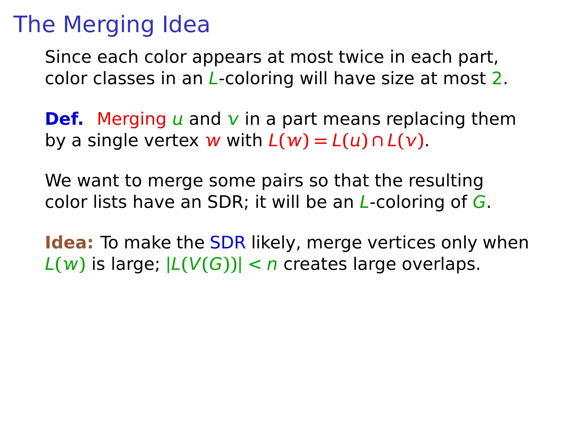Since each color appears at most twice in each part, color classes in an L-coloring will have size at most 2.

**Def.** Merging  $\mu$  and  $\nu$  in a part means replacing them by a single vertex **w** with  $L(w) = L(u) \cap L(v)$ .

We want to merge some pairs so that the resulting color lists have an SDR; it will be an  $L$ -coloring of  $G$ .

**Idea:** To make the SDR likely, merge vertices only when  $L(w)$  is large;  $|L(V(G))| < n$  creates large overlaps.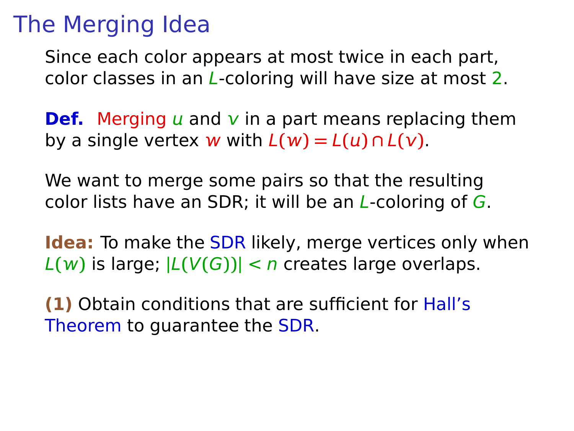Since each color appears at most twice in each part, color classes in an L-coloring will have size at most 2.

**Def.** Merging  $\mu$  and  $\nu$  in a part means replacing them by a single vertex **w** with  $L(w) = L(u) \cap L(v)$ .

We want to merge some pairs so that the resulting color lists have an SDR; it will be an  $L$ -coloring of  $G$ .

**Idea:** To make the SDR likely, merge vertices only when  $L(w)$  is large;  $|L(V(G))| < n$  creates large overlaps.

**(1)** Obtain conditions that are sufficient for Hall's Theorem to guarantee the SDR.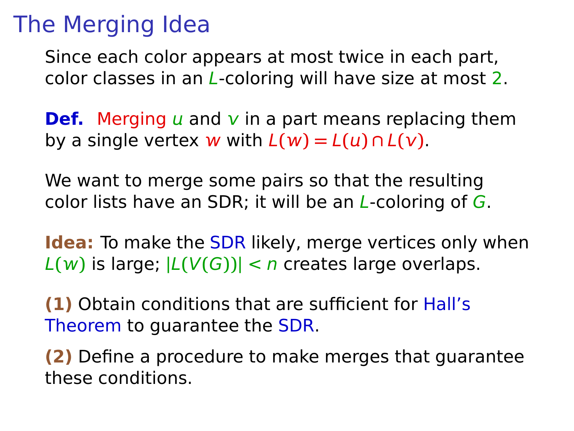Since each color appears at most twice in each part, color classes in an L-coloring will have size at most 2.

**Def.** Merging  $\mu$  and  $\nu$  in a part means replacing them by a single vertex **w** with  $L(w) = L(u) \cap L(v)$ .

We want to merge some pairs so that the resulting color lists have an SDR; it will be an  $L$ -coloring of  $G$ .

**Idea:** To make the SDR likely, merge vertices only when  $L(w)$  is large;  $|L(V(G))| < n$  creates large overlaps.

**(1)** Obtain conditions that are sufficient for Hall's Theorem to guarantee the SDR.

**(2)** Define a procedure to make merges that guarantee these conditions.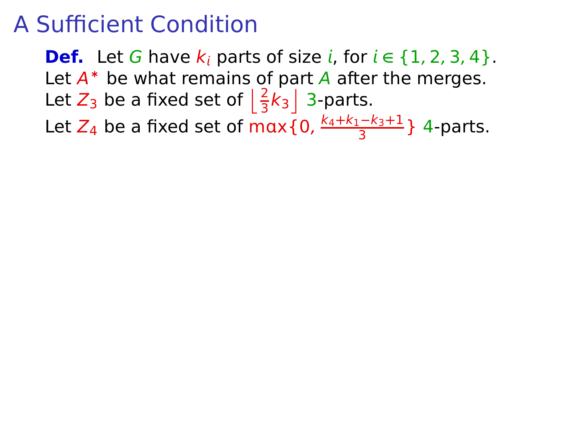**Def.** Let G have  $k_i$  parts of size i, for  $i \in \{1, 2, 3, 4\}$ . Let  $A^*$  be what remains of part  $A$  after the merges. Let  $Z_3$  be a fixed set of  $\left\lfloor \frac{2}{3}k_3 \right\rfloor$  3-parts.

Let Z<sup>4</sup> be a fixed set of mx{0, k4**+**k1**−**k3**+**1  $\frac{5-83+1}{3}$  4-parts.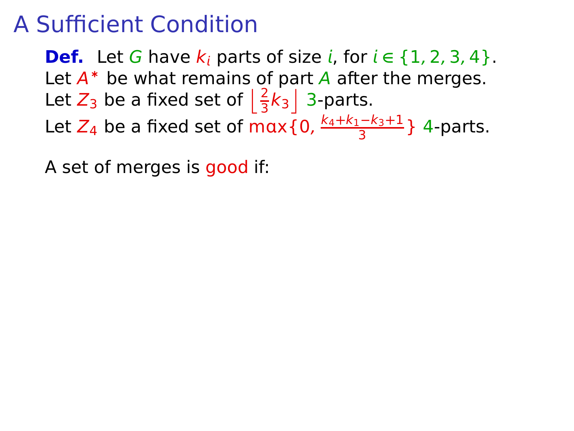**Def.** Let G have  $k_i$  parts of size *i*, for  $i \in \{1, 2, 3, 4\}$ . Let  $A^*$  be what remains of part  $A$  after the merges. Let  $Z_3$  be a fixed set of  $\left\lfloor \frac{2}{3}k_3 \right\rfloor$  3-parts.

Let Z<sup>4</sup> be a fixed set of mx{0, k4**+**k1**−**k3**+**1  $\frac{5-83+1}{3}$  4-parts.

A set of merges is good if: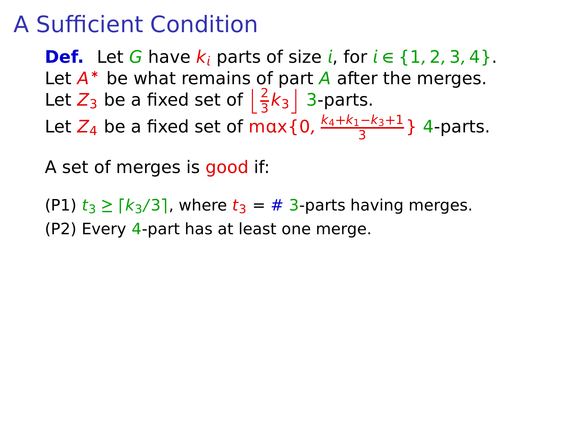**Def.** Let G have  $k_i$  parts of size *i*, for  $i \in \{1, 2, 3, 4\}$ . Let  $A^*$  be what remains of part  $A$  after the merges. Let  $Z_3$  be a fixed set of  $\left\lfloor \frac{2}{3}k_3 \right\rfloor$  3-parts. Let Z<sup>4</sup> be a fixed set of mx{0, k4**+**k1**−**k3**+**1  $\frac{5-83+1}{3}$  4-parts.

A set of merges is good if:

 $(P1)$   $t_3 \geq \lceil k_3/3 \rceil$ , where  $t_3 = #3$ -parts having merges. (P2) Every 4-part has at least one merge.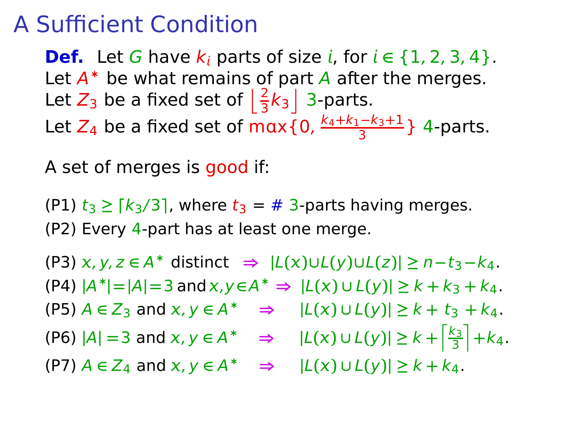**Def.** Let G have  $k_i$  parts of size *i*, for  $i \in \{1, 2, 3, 4\}$ . Let  $A^*$  be what remains of part  $A$  after the merges. Let  $Z_3$  be a fixed set of  $\left\lfloor \frac{2}{3}k_3 \right\rfloor$  3-parts. Let Z<sup>4</sup> be a fixed set of mx{0, k4**+**k1**−**k3**+**1  $\frac{5-83+1}{3}$  4-parts.

A set of merges is good if:

(P1)  $t_3 \geq \lceil k_3/3 \rceil$ , where  $t_3 = #3$ -parts having merges. (P2) Every 4-part has at least one merge.

 $(P3)$  x, y, z ∈ A<sup>\*</sup> distinct  $\Rightarrow$   $|L(x) \cup L(y) \cup L(z)| \ge n - t_3 - k_4$ .  $|A^*| = |A| = 3$  and  $x, y \in A^* \Rightarrow |L(x) \cup L(y)| \ge k + k_3 + k_4$ .  $(P5)$   $A \in Z_3$  and  $x, y \in A^*$   $\Rightarrow$   $|L(x) \cup L(y)| \ge k + t_3 + k_4$ .  $|P6|$  |A| = 3 and  $x, y \in A^*$   $\Rightarrow$  |L(x) ∪ L(y)| ≥  $k + \frac{k_3}{3}$  $\frac{\binom{3}{3}}{1} + k_4.$  $(P7)$   $A \in Z_4$  and  $x, y \in A^* \implies |L(x) \cup L(y)| \ge k + k_4$ .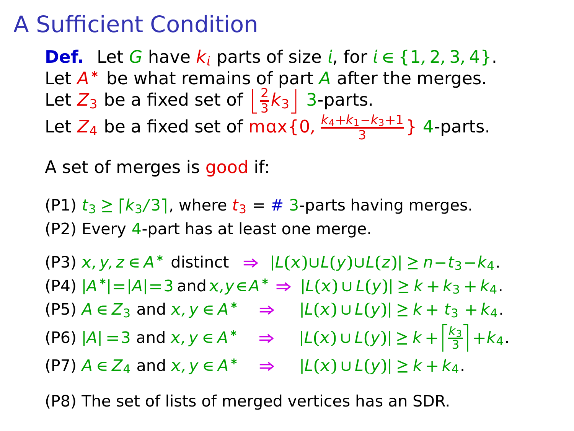**Def.** Let G have  $k_i$  parts of size *i*, for  $i \in \{1, 2, 3, 4\}$ . Let  $A^*$  be what remains of part  $A$  after the merges. Let  $Z_3$  be a fixed set of  $\left\lfloor \frac{2}{3}k_3 \right\rfloor$  3-parts. Let Z<sup>4</sup> be a fixed set of mx{0, k4**+**k1**−**k3**+**1  $\frac{5-83+1}{3}$  4-parts.

A set of merges is good if:

(P1)  $t_3 \geq \lceil k_3/3 \rceil$ , where  $t_3 = #3$ -parts having merges. (P2) Every 4-part has at least one merge.

 $(P3)$  x, y, z ∈ A<sup>\*</sup> distinct  $\Rightarrow$   $|L(x) \cup L(y) \cup L(z)| \ge n - t_3 - k_4$ .  $|A^*| = |A| = 3$  and  $x, y \in A^* \Rightarrow |L(x) \cup L(y)| \ge k + k_3 + k_4$ .  $(P5)$   $A \in Z_3$  and  $x, y \in A^*$   $\Rightarrow$   $|L(x) \cup L(y)| \ge k + t_3 + k_4$ .  $|P6|$  |A| = 3 and  $x, y \in A^*$   $\Rightarrow$  |L(x) ∪ L(y)| ≥  $k + \frac{k_3}{3}$  $\frac{\binom{3}{3}}{1} + k_4.$  $(P7)$   $A \in Z_4$  and  $x, y \in A^* \implies |L(x) \cup L(y)| \ge k + k_4$ .

(P8) The set of lists of merged vertices has an SDR.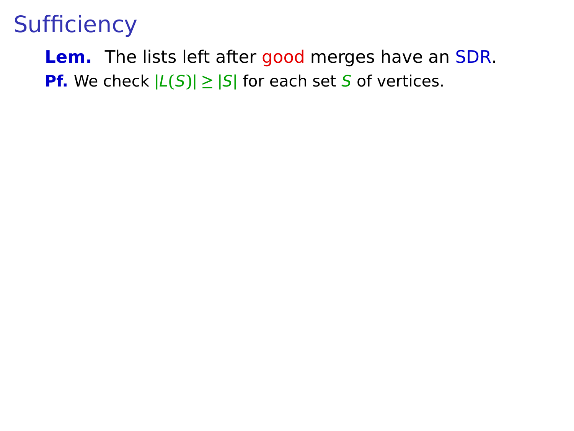**Lem.** The lists left after good merges have an SDR. **Pf.** We check  $|L(S)| \geq |S|$  for each set S of vertices.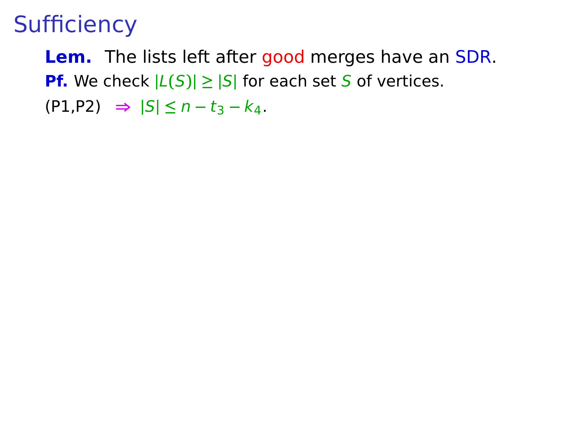**Lem.** The lists left after good merges have an SDR. **Pf.** We check  $|L(S)| \geq |S|$  for each set S of vertices. (P1,P2) **⇒ |**S**| ≤** n **−** t<sup>3</sup> **−** k4.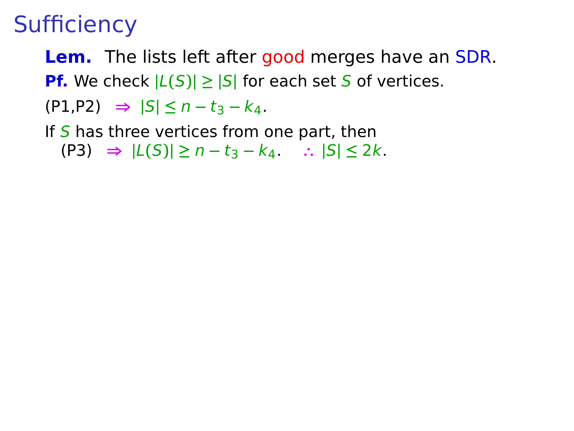- **Lem.** The lists left after good merges have an SDR. **Pf.** We check  $|L(S)| \geq |S|$  for each set S of vertices.
- (P1,P2) **⇒ |**S**| ≤** n **−** t<sup>3</sup> **−** k4.
- If  $S$  has three vertices from one part, then (P3) **⇒ |**L**(**S**)| ≥** n **−** t<sup>3</sup> **−** k4. **∴ |**S**| ≤** 2k.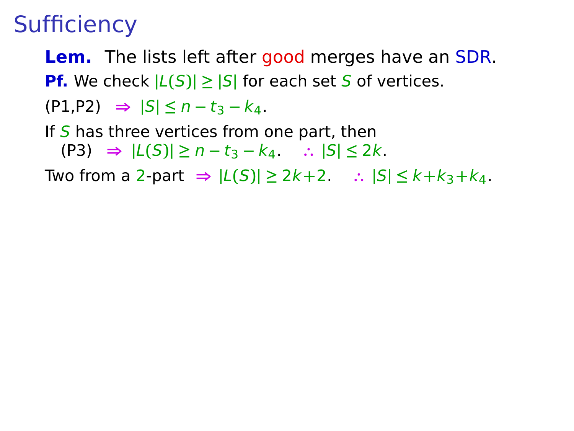- **Lem.** The lists left after good merges have an SDR. **Pf.** We check  $|L(S)| \geq |S|$  for each set S of vertices.
- (P1,P2) **⇒ |**S**| ≤** n **−** t<sup>3</sup> **−** k4.
- If  $S$  has three vertices from one part, then (P3) **⇒ |**L**(**S**)| ≥** n **−** t<sup>3</sup> **−** k4. **∴ |**S**| ≤** 2k.

Two from a 2-part **⇒ |**L**(**S**)| ≥** 2k**+**2. **∴ |**S**| ≤** k**+**k3**+**k4.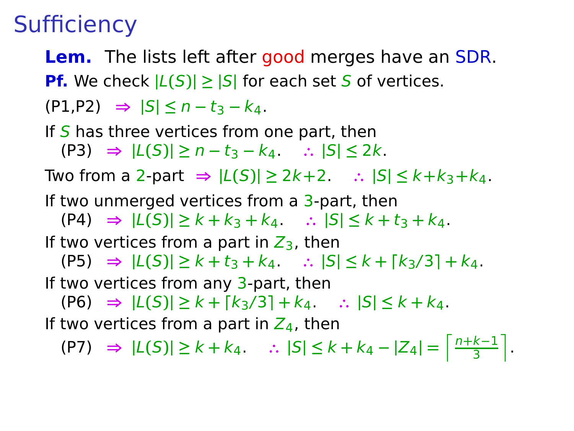- **Lem.** The lists left after good merges have an SDR. **Pf.** We check  $|L(S)| \geq |S|$  for each set S of vertices.
- (P1,P2) **⇒ |**S**| ≤** n **−** t<sup>3</sup> **−** k4.
- If  $S$  has three vertices from one part, then (P3) **⇒ |**L**(**S**)| ≥** n **−** t<sup>3</sup> **−** k4. **∴ |**S**| ≤** 2k. Two from a 2-part **⇒ |**L**(**S**)| ≥** 2k**+**2. **∴ |**S**| ≤** k**+**k3**+**k4. If two unmerged vertices from a 3-part, then (P4) **⇒ |**L**(**S**)| ≥** k **+** k<sup>3</sup> **+** k4. **∴ |**S**| ≤** k **+** t<sup>3</sup> **+** k4. If two vertices from a part in  $Z_3$ , then  $|L(S)| \geq k + t_3 + k_4$ .  $\therefore |S| \leq k + [k_3/3] + k_4$ . If two vertices from any  $3$ -part, then  $|C(5)| \geq k + [k_3/3] + k_4$   $\therefore |S| \leq k + k_4$ . If two vertices from a part in  $Z_4$ , then

 $|C| = \frac{n+k-1}{3}$  **i**  $|C| = \frac{n+k-1}{3}$  **i**  $|S| \leq k + k_4 - |Z_4| = \frac{n+k-1}{3}$  $\frac{k-1}{3}$ .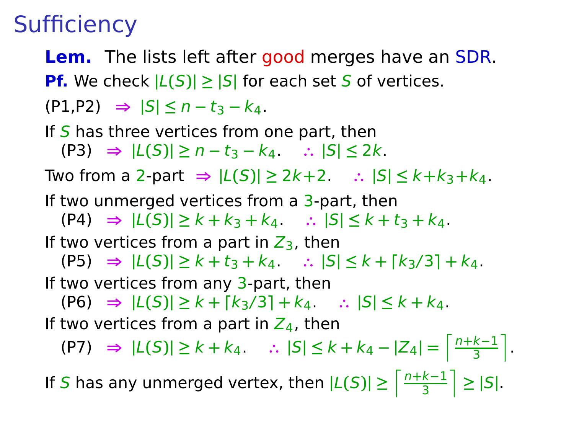- **Lem.** The lists left after good merges have an SDR. **Pf.** We check  $|L(S)| \geq |S|$  for each set S of vertices.
- (P1,P2) **⇒ |**S**| ≤** n **−** t<sup>3</sup> **−** k4.
- If  $S$  has three vertices from one part, then (P3) **⇒ |**L**(**S**)| ≥** n **−** t<sup>3</sup> **−** k4. **∴ |**S**| ≤** 2k. Two from a 2-part **⇒ |**L**(**S**)| ≥** 2k**+**2. **∴ |**S**| ≤** k**+**k3**+**k4. If two unmerged vertices from a 3-part, then (P4) **⇒ |**L**(**S**)| ≥** k **+** k<sup>3</sup> **+** k4. **∴ |**S**| ≤** k **+** t<sup>3</sup> **+** k4.
- If two vertices from a part in  $Z_3$ , then

 $|L(S)| \geq k + t_3 + k_4$ .  $\therefore |S| \leq k + [k_3/3] + k_4$ .

If two vertices from any  $3$ -part, then

 $|C(5)| \geq k + [k_3/3] + k_4$   $\therefore |S| \leq k + k_4$ .

If two vertices from a part in  $Z_4$ , then

 $|C| = \frac{n+k-1}{3}$  **i**  $|C| = \frac{n+k-1}{3}$  **i**  $|S| \leq k + k_4 - |Z_4| = \frac{n+k-1}{3}$  $\frac{k-1}{3}$ .

If S has any unmerged vertex, then  $|L(S)| \ge \left\lceil \frac{n+k-1}{3} \right\rceil$  $\left|\frac{k-1}{3}\right| \geq |S|$ .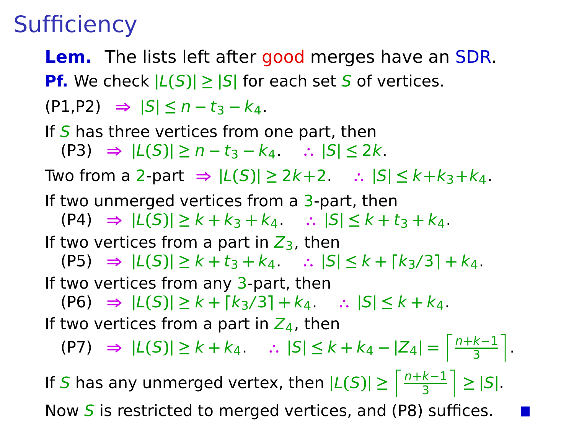- **Lem.** The lists left after good merges have an SDR. **Pf.** We check  $|L(S)| \geq |S|$  for each set S of vertices.
- (P1,P2) **⇒ |**S**| ≤** n **−** t<sup>3</sup> **−** k4.
- If  $S$  has three vertices from one part, then (P3) **⇒ |**L**(**S**)| ≥** n **−** t<sup>3</sup> **−** k4. **∴ |**S**| ≤** 2k. Two from a 2-part **⇒ |**L**(**S**)| ≥** 2k**+**2. **∴ |**S**| ≤** k**+**k3**+**k4. If two unmerged vertices from a 3-part, then (P4) **⇒ |**L**(**S**)| ≥** k **+** k<sup>3</sup> **+** k4. **∴ |**S**| ≤** k **+** t<sup>3</sup> **+** k4. If two vertices from a part in  $Z_3$ , then  $|L(S)| \geq k + t_3 + k_4$ .  $\therefore |S| \leq k + [k_3/3] + k_4$ .
- If two vertices from any  $3$ -part, then
	- (P6) **⇒ |**L**(**S**)| ≥** k **+ ⌈**k3/3**⌉ +** k4. **∴ |**S**| ≤** k **+** k4.
- If two vertices from a part in  $Z_4$ , then

 $|C| = \frac{n+k-1}{3}$  **i**  $|C| = \frac{n+k-1}{3}$  **i**  $|S| \leq k + k_4 - |Z_4| = \frac{n+k-1}{3}$  $\frac{k-1}{3}$ .

If S has any unmerged vertex, then  $|L(S)| \ge \left\lceil \frac{n+k-1}{3} \right\rceil$  $\left|\frac{k-1}{3}\right| \geq |S|$ . Now  $S$  is restricted to merged vertices, and (P8) suffices.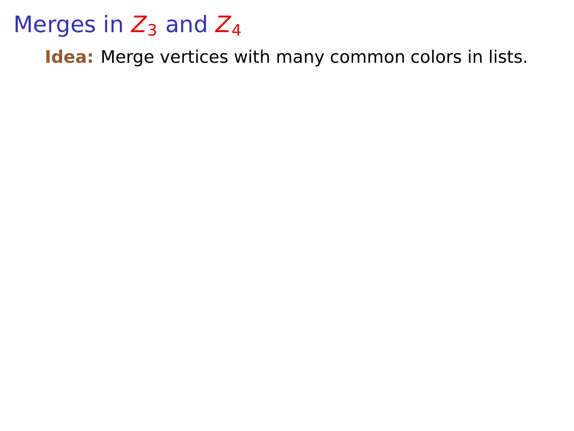## Merges in  $Z_3$  and  $Z_4$

**Idea:** Merge vertices with many common colors in lists.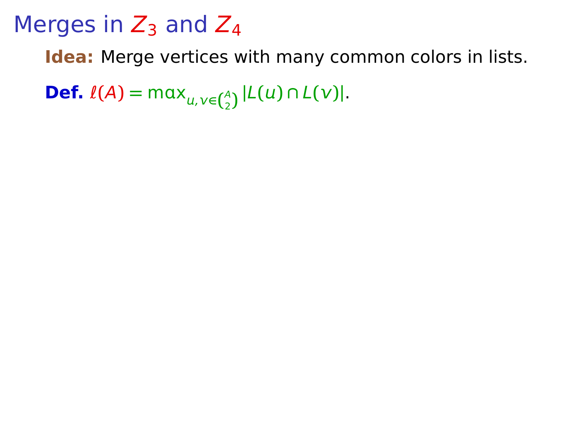**Idea:** Merge vertices with many common colors in lists.

**Def.**  $\ell(A) = \max_{u,v \in {A \choose 2}} |L(u) \cap L(v)|$ .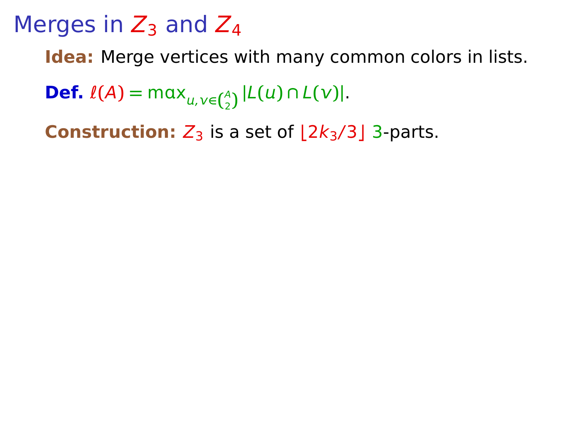**Idea:** Merge vertices with many common colors in lists.

**Def.**  $\ell(A) = \max_{u,v \in {A \choose 2}} |L(u) \cap L(v)|$ .

**Construction:**  $Z_3$  is a set of  $|2k_3/3|$  3-parts.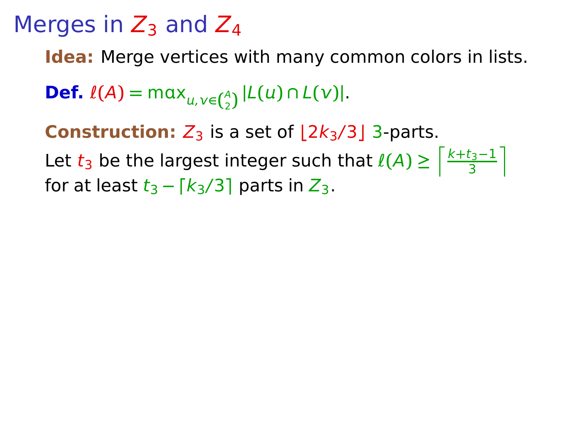**Idea:** Merge vertices with many common colors in lists.

**Def.**  $\ell(A) = \max_{u,v \in {A \choose 2}} |L(u) \cap L(v)|$ .

**Construction:**  $Z_3$  is a set of  $|2k_3/3|$  3-parts.

Let  $t_3$  be the largest integer such that  $\ell(A) \geq \lceil \frac{k+t_3-1}{3} \rceil$  $\frac{t_3-1}{3}$ for at least  $t_3 - \lceil k_3/3 \rceil$  parts in  $Z_3$ .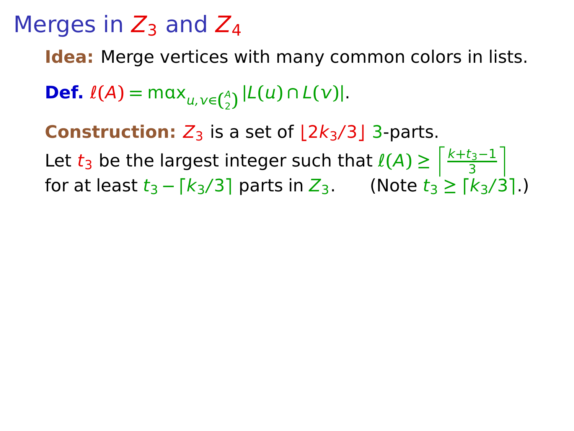**Idea:** Merge vertices with many common colors in lists.

**Def.**  $\ell(A) = \max_{u,v \in {A \choose 2}} |L(u) \cap L(v)|$ .

**Construction:**  $Z_3$  is a set of  $|2k_3/3|$  3-parts.

Let  $t_3$  be the largest integer such that  $\ell(A) \geq \lceil \frac{k+t_3-1}{3} \rceil$  $\frac{t_3-1}{3}$ for at least  $t_3 - \lceil k_3/3 \rceil$  parts in  $Z_3$ . (Note  $t_3 \geq \lceil k_3/3 \rceil$ .)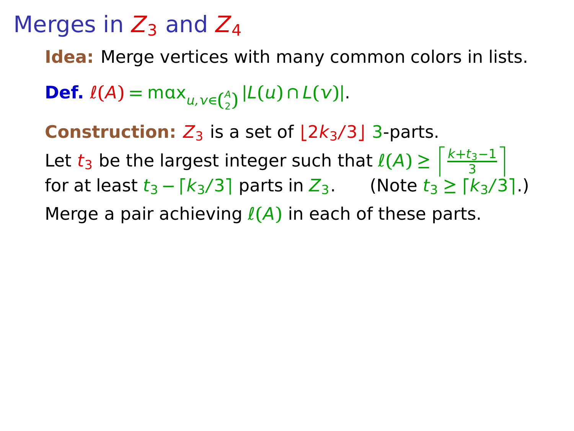**Idea:** Merge vertices with many common colors in lists.

**Def.**  $\ell(A) = \max_{u,v \in {A \choose 2}} |L(u) \cap L(v)|$ .

**Construction:**  $Z_3$  is a set of  $|2k_3/3|$  3-parts.

Let  $t_3$  be the largest integer such that  $\ell(A) \geq \lceil \frac{k+t_3-1}{3} \rceil$  $\frac{t_3-1}{3}$ for at least  $t_3 - \lceil k_3/3 \rceil$  parts in  $Z_3$ . (Note  $t_3 \geq \lceil k_3/3 \rceil$ .) Merge a pair achieving ℓ**(**A**)** in each of these parts.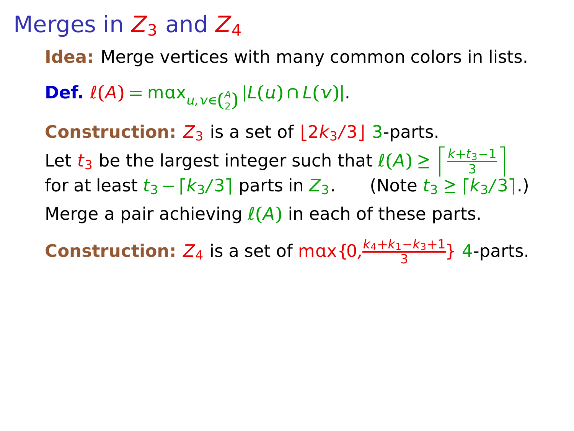**Idea:** Merge vertices with many common colors in lists.

**Def.**  $\ell(A) = \max_{u,v \in {A \choose 2}} |L(u) \cap L(v)|$ .

**Construction:**  $Z_3$  is a set of  $|2k_3/3|$  3-parts.

Let  $t_3$  be the largest integer such that  $\ell(A) \geq \lceil \frac{k+t_3-1}{3} \rceil$  $\frac{t_3-1}{3}$ for at least  $t_3 - \lceil k_3/3 \rceil$  parts in  $Z_3$ . (Note  $t_3 \geq \lceil k_3/3 \rceil$ .) Merge a pair achieving ℓ**(**A**)** in each of these parts.

**Construction:**  $Z_4$  is a set of max  $\{0, \frac{k_4+k_1-k_3+1}{3}\}$  $\frac{5-1}{3}$  4-parts.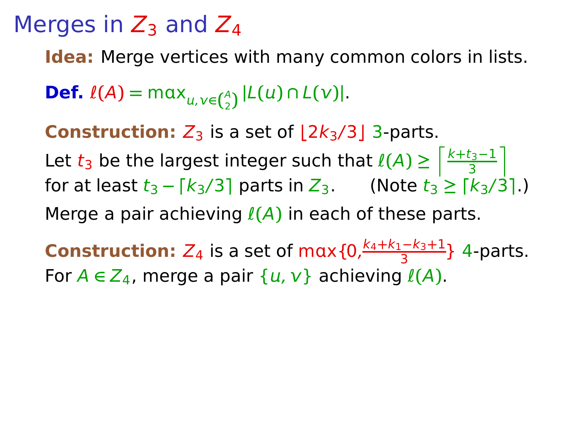**Idea:** Merge vertices with many common colors in lists.

**Def.**  $\ell(A) = \max_{u,v \in {A \choose 2}} |L(u) \cap L(v)|$ .

**Construction:**  $Z_3$  is a set of  $|2k_3/3|$  3-parts.

Let  $t_3$  be the largest integer such that  $\ell(A) \geq \lceil \frac{k+t_3-1}{3} \rceil$  $\frac{t_3-1}{3}$ for at least  $t_3 - \lceil k_3/3 \rceil$  parts in  $Z_3$ . (Note  $t_3 \geq \lceil k_3/3 \rceil$ .) Merge a pair achieving ℓ**(**A**)** in each of these parts.

**Construction:**  $Z_4$  is a set of max  $\{0, \frac{k_4+k_1-k_3+1}{3}\}$  $\frac{5-1}{3}$  4-parts. For  $A \in Z_4$ , merge a pair  $\{u, v\}$  achieving  $\ell(A)$ .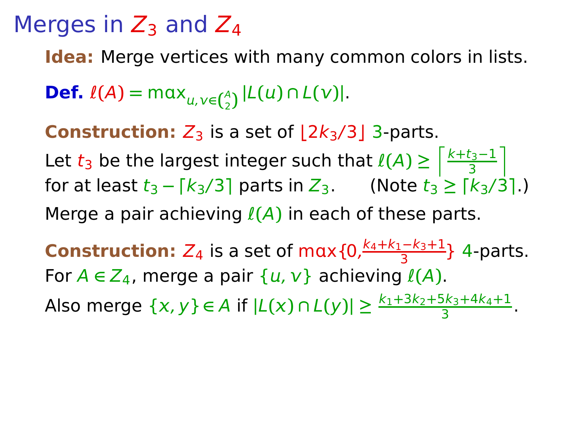**Idea:** Merge vertices with many common colors in lists.

**Def.**  $\ell(A) = \max_{u,v \in {A \choose 2}} |L(u) \cap L(v)|$ .

**Construction:**  $Z_3$  is a set of  $|2k_3/3|$  3-parts.

Let  $t_3$  be the largest integer such that  $\ell(A) \geq \lceil \frac{k+t_3-1}{3} \rceil$  $\frac{t_3-1}{3}$ for at least  $t_3 - \lceil k_3/3 \rceil$  parts in  $Z_3$ . (Note  $t_3 \geq \lceil k_3/3 \rceil$ .) Merge a pair achieving ℓ**(**A**)** in each of these parts.

**Construction:**  $Z_4$  is a set of max  $\{0, \frac{k_4+k_1-k_3+1}{3}\}$  $\frac{5-1}{3}$  4-parts. For  $A \in Z_4$ , merge a pair  $\{u, v\}$  achieving  $\ell(A)$ . Also merge  $\{x, y\} \in A$  if  $|L(x) \cap L(y)| \ge \frac{k_1 + 3k_2 + 5k_3 + 4k_4 + 1}{3}$ .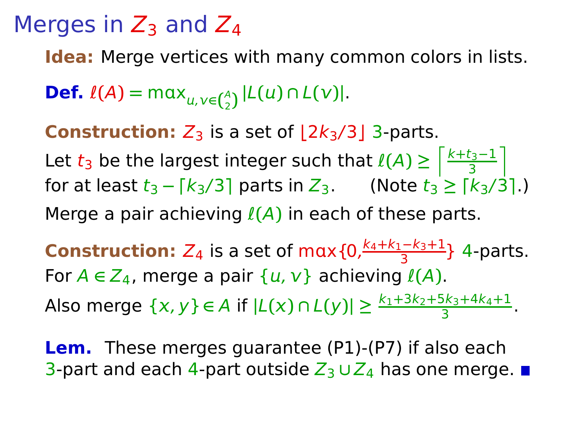**Idea:** Merge vertices with many common colors in lists.

**Def.**  $\ell(A) = \max_{u,v \in {A \choose 2}} |L(u) \cap L(v)|$ .

**Construction:**  $Z_3$  is a set of  $|2k_3/3|$  3-parts.

Let  $t_3$  be the largest integer such that  $\ell(A) \geq \lceil \frac{k+t_3-1}{3} \rceil$  $\frac{t_3-1}{3}$ for at least  $t_3 - \lceil k_3/3 \rceil$  parts in  $Z_3$ . (Note  $t_3 \geq \lceil k_3/3 \rceil$ .) Merge a pair achieving ℓ**(**A**)** in each of these parts.

**Construction:**  $Z_4$  is a set of max  $\{0, \frac{k_4+k_1-k_3+1}{3}\}$  $\frac{5-1}{3}$  4-parts. For  $A \in Z_4$ , merge a pair  $\{u, v\}$  achieving  $\ell(A)$ . Also merge  $\{x, y\} \in A$  if  $|L(x) \cap L(y)| \ge \frac{k_1 + 3k_2 + 5k_3 + 4k_4 + 1}{3}$ .

**Lem.** These merges guarantee (P1)-(P7) if also each 3-part and each 4-part outside  $Z_3 \cup Z_4$  has one merge. ■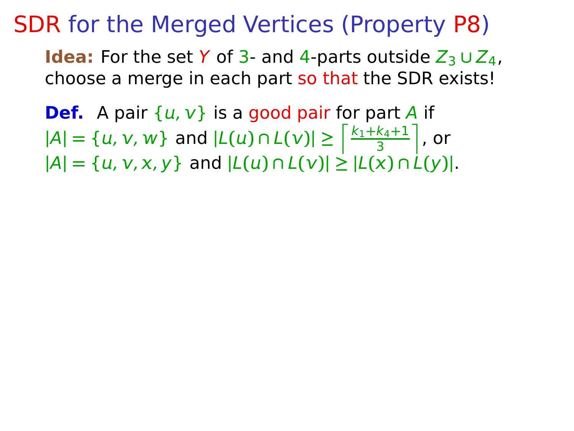**Idea:** For the set Y of 3- and 4-parts outside  $Z_3 \cup Z_4$ , choose a merge in each part so that the SDR exists!

**Def.** A pair  $\{u, v\}$  is a good pair for part A if  $|A| = \{u, v, w\}$  and  $|L(u) \cap L(v)| \geq \frac{\left|\frac{k_1 + k_4 + 1}{3}\right|}{\frac{k_1 + k_4 + 1}{3}}$ 3  $\vert$ , or  $|A| = \{u, v, x, y\}$  and  $|L(u) \cap L(v)| \ge |L(x) \cap L(y)|$ .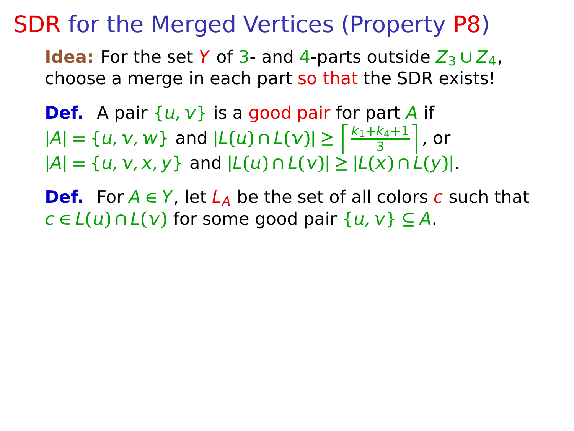- **Def.** A pair  $\{u, v\}$  is a good pair for part A if  $|A| = \{u, v, w\}$  and  $|L(u) \cap L(v)| \geq \frac{\left|\frac{k_1 + k_4 + 1}{3}\right|}{\frac{k_1 + k_4 + 1}{3}}$ 3  $\vert$ , or  $|A| = \{u, v, x, y\}$  and  $|L(u) \cap L(v)| \ge |L(x) \cap L(y)|$ .
- **Def.** For  $A \in Y$ , let  $L_A$  be the set of all colors c such that  $c \in L(u) \cap L(v)$  for some good pair  $\{u, v\} \subseteq A$ .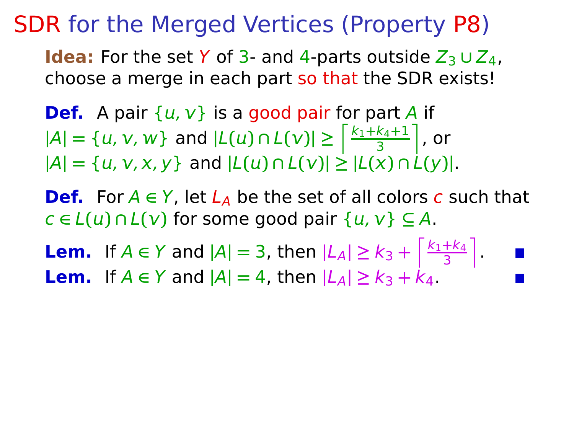- **Def.** A pair  $\{u, v\}$  is a good pair for part A if  $|A| = \{u, v, w\}$  and  $|L(u) \cap L(v)| \geq \frac{\left|\frac{k_1 + k_4 + 1}{3}\right|}{\frac{k_1 + k_4 + 1}{3}}$ 3  $\vert$ , or  $|A| = \{u, v, x, y\}$  and  $|L(u) \cap L(v)| \ge |L(x) \cap L(y)|$ .
- **Def.** For  $A \in Y$ , let  $L_A$  be the set of all colors c such that  $c \in L(u) \cap L(v)$  for some good pair  $\{u, v\} \subseteq A$ .
- **Lem.** If *A* ∈ *Y* and  $|A| = 3$ , then  $|L_A| \ge k_3 + \frac{k_1 + k_4}{3}$  $\frac{+k_4}{3}$ . **Lem.** If  $A \in Y$  and  $|A| = 4$ , then  $|L_A| \ge k_3 + k_4$ .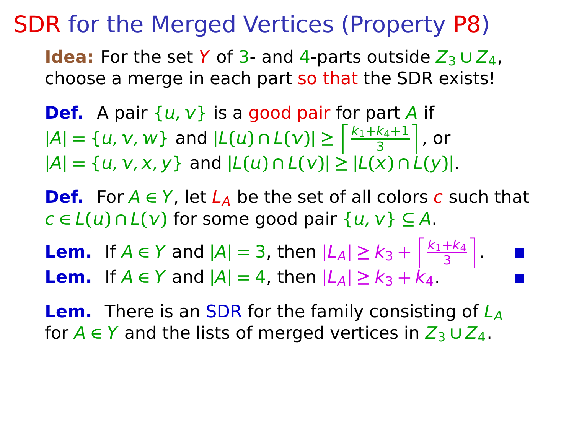- **Def.** A pair  $\{u, v\}$  is a good pair for part A if  $|A| = \{u, v, w\}$  and  $|L(u) \cap L(v)| \geq \frac{\left|\frac{k_1 + k_4 + 1}{3}\right|}{\frac{k_1 + k_4 + 1}{3}}$ 3  $\vert$ , or  $|A| = \{u, v, x, y\}$  and  $|L(u) \cap L(v)| \ge |L(x) \cap L(y)|$ .
- **Def.** For  $A \in Y$ , let  $L_A$  be the set of all colors c such that  $c \in L(u) \cap L(v)$  for some good pair  $\{u, v\} \subseteq A$ .
- **Lem.** If *A* ∈ *Y* and  $|A| = 3$ , then  $|L_A| \ge k_3 + \frac{k_1 + k_4}{3}$  $\frac{+k_4}{3}$ . **Lem.** If  $A \in Y$  and  $|A| = 4$ , then  $|L_A| \ge k_3 + k_4$ .
- **Lem.** There is an SDR for the family consisting of  $L_A$ for  $A \in Y$  and the lists of merged vertices in  $Z_3 \cup Z_4$ .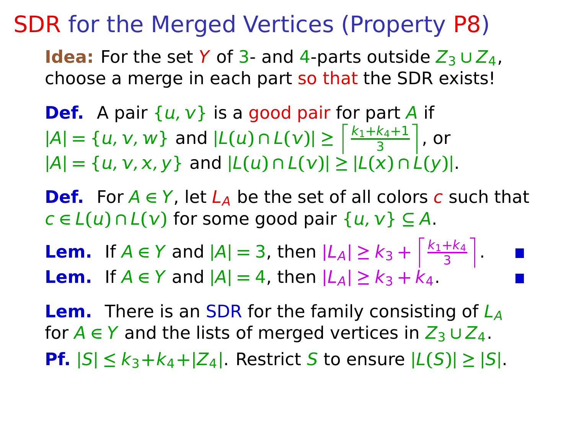**Idea:** For the set Y of 3- and 4-parts outside  $Z_3 \cup Z_4$ , choose a merge in each part so that the SDR exists!

- **Def.** A pair  $\{u, v\}$  is a good pair for part A if  $|A| = \{u, v, w\}$  and  $|L(u) \cap L(v)| \geq \frac{\left|\frac{k_1 + k_4 + 1}{3}\right|}{\frac{k_1 + k_4 + 1}{3}}$ 3  $\vert$ , or  $|A| = \{u, v, x, y\}$  and  $|L(u) \cap L(v)| \ge |L(x) \cap L(y)|$ .
- **Def.** For  $A \in Y$ , let  $L_A$  be the set of all colors c such that  $c \in L(u) \cap L(v)$  for some good pair  $\{u, v\} \subseteq A$ .
- **Lem.** If *A* ∈ *Y* and  $|A| = 3$ , then  $|L_A| \ge k_3 + \frac{k_1 + k_4}{3}$  $\frac{+k_4}{3}$ . **Lem.** If  $A \in Y$  and  $|A| = 4$ , then  $|L_A| \ge k_3 + k_4$ .

**Lem.** There is an SDR for the family consisting of  $L_A$ for  $A \in Y$  and the lists of merged vertices in  $Z_3 \cup Z_4$ . **Pf.**  $|S| \leq k_3 + k_4 + |Z_4|$ . Restrict S to ensure  $|L(S)| \geq |S|$ .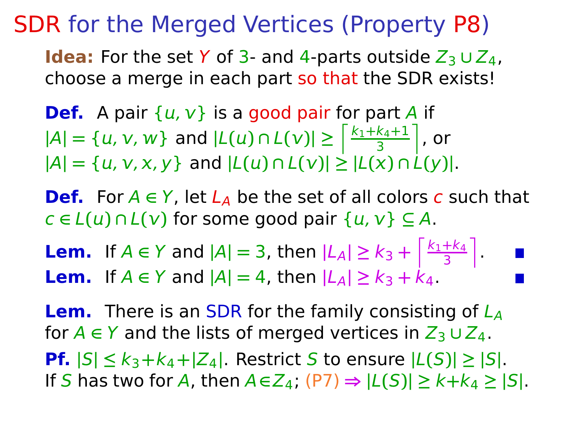**Idea:** For the set Y of 3- and 4-parts outside  $Z_3 \cup Z_4$ , choose a merge in each part so that the SDR exists!

- **Def.** A pair  $\{u, v\}$  is a good pair for part A if  $|A| = \{u, v, w\}$  and  $|L(u) \cap L(v)| \geq \frac{\left|\frac{k_1 + k_4 + 1}{3}\right|}{\frac{k_1 + k_4 + 1}{3}}$ 3  $\vert$ , or  $|A| = \{u, v, x, y\}$  and  $|L(u) \cap L(v)| \ge |L(x) \cap L(y)|$ .
- **Def.** For  $A \in Y$ , let  $L_A$  be the set of all colors c such that  $c \in L(u) \cap L(v)$  for some good pair  $\{u, v\} \subseteq A$ .
- **Lem.** If *A* ∈ *Y* and  $|A| = 3$ , then  $|L_A| \ge k_3 + \frac{k_1 + k_4}{3}$  $\frac{+k_4}{3}$ . **Lem.** If  $A \in Y$  and  $|A| = 4$ , then  $|L_A| \ge k_3 + k_4$ .

**Lem.** There is an SDR for the family consisting of  $L_A$ for  $A \in Y$  and the lists of merged vertices in  $Z_3 \cup Z_4$ .

**Pf.**  $|S| \leq k_3 + k_4 + |Z_4|$ . Restrict S to ensure  $|L(S)| \geq |S|$ . If S has two for A, then  $A \in Z_4$ ;  $(P7) \Rightarrow |L(S)| \geq k + k_4 \geq |S|$ .